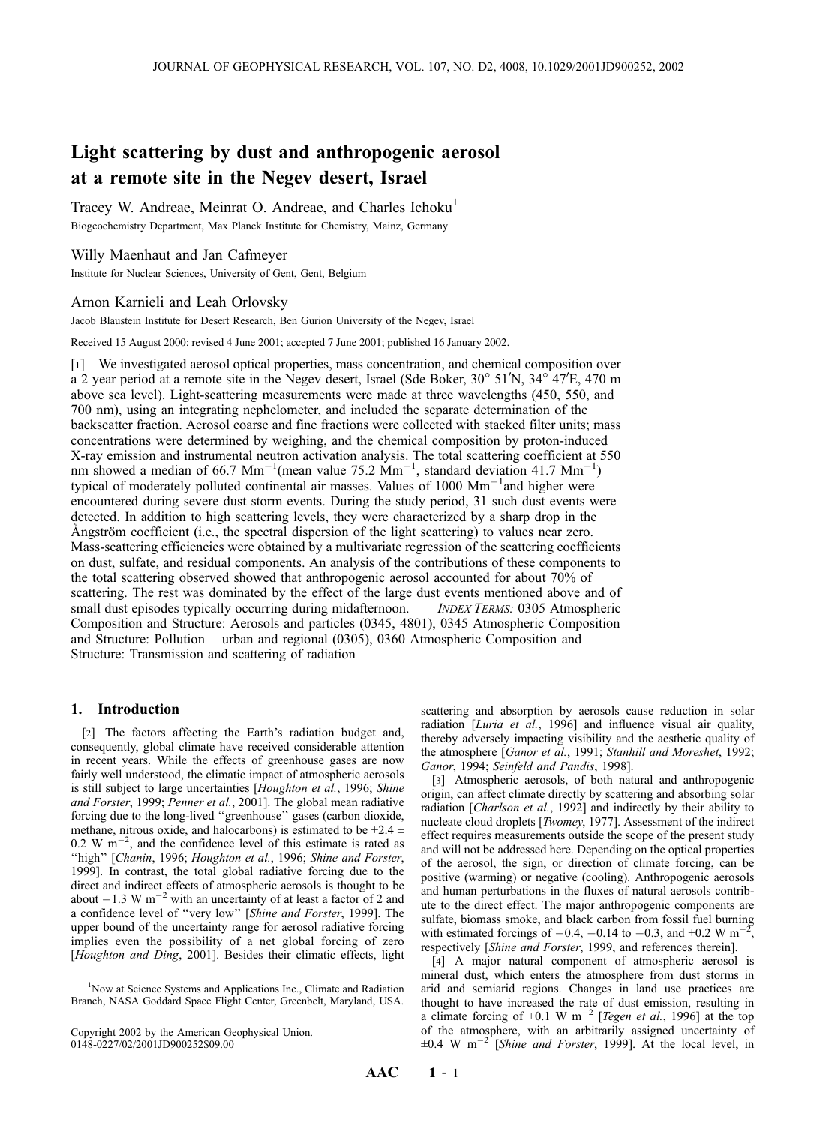# Light scattering by dust and anthropogenic aerosol at a remote site in the Negev desert, Israel

Tracey W. Andreae, Meinrat O. Andreae, and Charles Ichoku<sup>1</sup> Biogeochemistry Department, Max Planck Institute for Chemistry, Mainz, Germany

# Willy Maenhaut and Jan Cafmeyer

Institute for Nuclear Sciences, University of Gent, Gent, Belgium

## Arnon Karnieli and Leah Orlovsky

Jacob Blaustein Institute for Desert Research, Ben Gurion University of the Negev, Israel

Received 15 August 2000; revised 4 June 2001; accepted 7 June 2001; published 16 January 2002.

[1] We investigated aerosol optical properties, mass concentration, and chemical composition over  $a$  2 year period at a remote site in the Negev desert, Israel (Sde Boker, 30° 51'N, 34° 47'E, 470 m above sea level). Light-scattering measurements were made at three wavelengths (450, 550, and 700 nm), using an integrating nephelometer, and included the separate determination of the backscatter fraction. Aerosol coarse and fine fractions were collected with stacked filter units; mass concentrations were determined by weighing, and the chemical composition by proton-induced X-ray emission and instrumental neutron activation analysis. The total scattering coefficient at 550 nm showed a median of 66.7 Mm<sup>-1</sup>(mean value 75.2 Mm<sup>-1</sup>, standard deviation 41.7 Mm<sup>-1</sup>) typical of moderately polluted continental air masses. Values of 1000 Mm<sup>-1</sup>and higher were encountered during severe dust storm events. During the study period, 31 such dust events were detected. In addition to high scattering levels, they were characterized by a sharp drop in the Angström coefficient (i.e., the spectral dispersion of the light scattering) to values near zero. Mass-scattering efficiencies were obtained by a multivariate regression of the scattering coefficients on dust, sulfate, and residual components. An analysis of the contributions of these components to the total scattering observed showed that anthropogenic aerosol accounted for about 70% of scattering. The rest was dominated by the effect of the large dust events mentioned above and of small dust episodes typically occurring during midafternoon. *INDEX TERMS:* 0305 Atmospheric Composition and Structure: Aerosols and particles (0345, 4801), 0345 Atmospheric Composition and Structure: Pollution— urban and regional (0305), 0360 Atmospheric Composition and Structure: Transmission and scattering of radiation

# 1. Introduction

[2] The factors affecting the Earth's radiation budget and, consequently, global climate have received considerable attention in recent years. While the effects of greenhouse gases are now fairly well understood, the climatic impact of atmospheric aerosols is still subject to large uncertainties [Houghton et al., 1996; Shine and Forster, 1999; Penner et al., 2001]. The global mean radiative forcing due to the long-lived ''greenhouse'' gases (carbon dioxide, methane, nitrous oxide, and halocarbons) is estimated to be  $+2.4 \pm$  $0.2 \text{ W m}^{-2}$ , and the confidence level of this estimate is rated as "high" [Chanin, 1996; Houghton et al., 1996; Shine and Forster, 1999]. In contrast, the total global radiative forcing due to the direct and indirect effects of atmospheric aerosols is thought to be about  $-1.3 \text{ W m}^{-2}$  with an uncertainty of at least a factor of 2 and a confidence level of ''very low'' [Shine and Forster, 1999]. The upper bound of the uncertainty range for aerosol radiative forcing implies even the possibility of a net global forcing of zero [Houghton and Ding, 2001]. Besides their climatic effects, light scattering and absorption by aerosols cause reduction in solar radiation [*Luria et al.*, 1996] and influence visual air quality, thereby adversely impacting visibility and the aesthetic quality of the atmosphere [Ganor et al., 1991; Stanhill and Moreshet, 1992; Ganor, 1994; Seinfeld and Pandis, 1998].

[3] Atmospheric aerosols, of both natural and anthropogenic origin, can affect climate directly by scattering and absorbing solar radiation [Charlson et al., 1992] and indirectly by their ability to nucleate cloud droplets [Twomey, 1977]. Assessment of the indirect effect requires measurements outside the scope of the present study and will not be addressed here. Depending on the optical properties of the aerosol, the sign, or direction of climate forcing, can be positive (warming) or negative (cooling). Anthropogenic aerosols and human perturbations in the fluxes of natural aerosols contribute to the direct effect. The major anthropogenic components are sulfate, biomass smoke, and black carbon from fossil fuel burning with estimated forcings of  $-0.4$ ,  $-0.14$  to  $-0.3$ , and  $+0.2$  W m<sup>-2</sup>, respectively [Shine and Forster, 1999, and references therein].

[4] A major natural component of atmospheric aerosol is mineral dust, which enters the atmosphere from dust storms in arid and semiarid regions. Changes in land use practices are thought to have increased the rate of dust emission, resulting in a climate forcing of +0.1 W m<sup>-2</sup> [Tegen et al., 1996] at the top of the atmosphere, with an arbitrarily assigned uncertainty of  $\pm 0.4$  W m<sup>-2</sup> [Shine and Forster, 1999]. At the local level, in

<sup>&</sup>lt;sup>1</sup>Now at Science Systems and Applications Inc., Climate and Radiation Branch, NASA Goddard Space Flight Center, Greenbelt, Maryland, USA.

Copyright 2002 by the American Geophysical Union. 0148-0227/02/2001JD900252\$09.00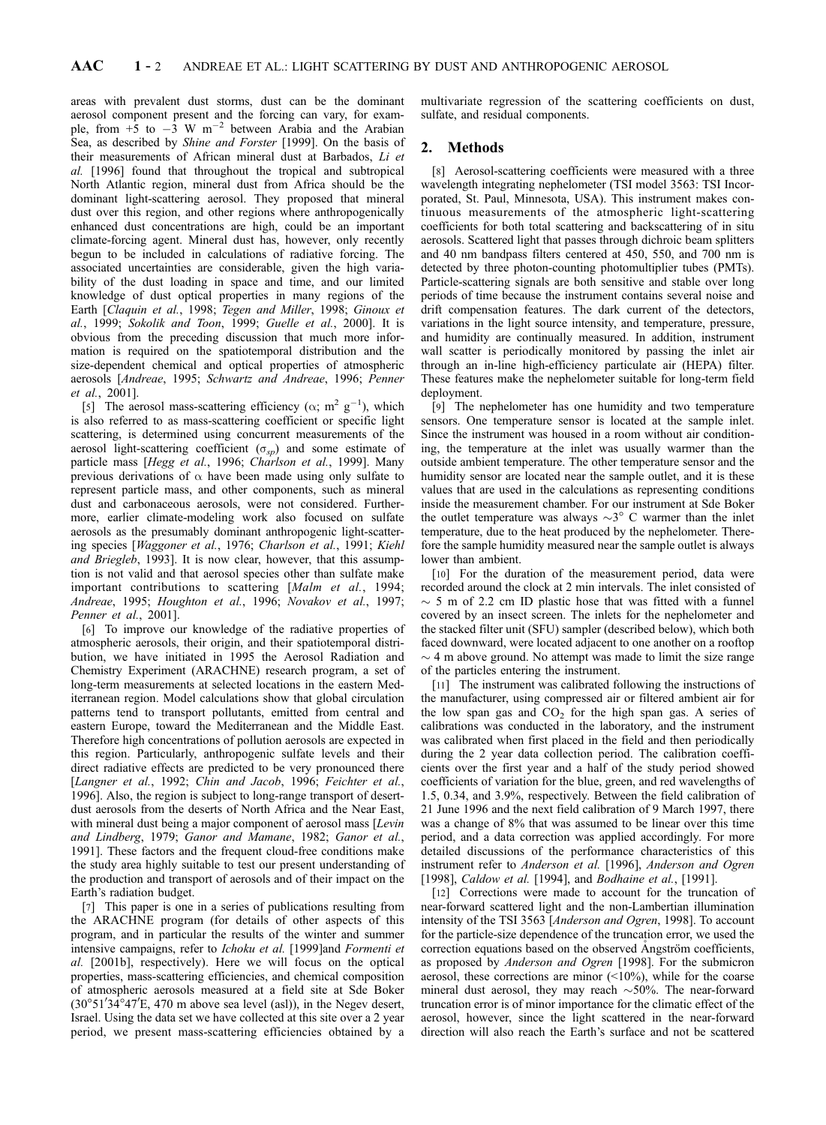areas with prevalent dust storms, dust can be the dominant aerosol component present and the forcing can vary, for example, from  $+5$  to  $-3$  W m<sup>-2</sup> between Arabia and the Arabian Sea, as described by Shine and Forster [1999]. On the basis of their measurements of African mineral dust at Barbados, Li et al. [1996] found that throughout the tropical and subtropical North Atlantic region, mineral dust from Africa should be the dominant light-scattering aerosol. They proposed that mineral dust over this region, and other regions where anthropogenically enhanced dust concentrations are high, could be an important climate-forcing agent. Mineral dust has, however, only recently begun to be included in calculations of radiative forcing. The associated uncertainties are considerable, given the high variability of the dust loading in space and time, and our limited knowledge of dust optical properties in many regions of the Earth [Claquin et al., 1998; Tegen and Miller, 1998; Ginoux et al., 1999; Sokolik and Toon, 1999; Guelle et al., 2000]. It is obvious from the preceding discussion that much more information is required on the spatiotemporal distribution and the size-dependent chemical and optical properties of atmospheric aerosols [Andreae, 1995; Schwartz and Andreae, 1996; Penner et al., 2001].

[5] The aerosol mass-scattering efficiency ( $\alpha$ ; m<sup>2</sup> g<sup>-1</sup>), which is also referred to as mass-scattering coefficient or specific light scattering, is determined using concurrent measurements of the aerosol light-scattering coefficient  $(\sigma_{\rm SD})$  and some estimate of particle mass [Hegg et al., 1996; Charlson et al., 1999]. Many previous derivations of  $\alpha$  have been made using only sulfate to represent particle mass, and other components, such as mineral dust and carbonaceous aerosols, were not considered. Furthermore, earlier climate-modeling work also focused on sulfate aerosols as the presumably dominant anthropogenic light-scattering species [Waggoner et al., 1976; Charlson et al., 1991; Kiehl and Briegleb, 1993]. It is now clear, however, that this assumption is not valid and that aerosol species other than sulfate make important contributions to scattering [Malm et al., 1994; Andreae, 1995; Houghton et al., 1996; Novakov et al., 1997; Penner et al., 2001].

[6] To improve our knowledge of the radiative properties of atmospheric aerosols, their origin, and their spatiotemporal distribution, we have initiated in 1995 the Aerosol Radiation and Chemistry Experiment (ARACHNE) research program, a set of long-term measurements at selected locations in the eastern Mediterranean region. Model calculations show that global circulation patterns tend to transport pollutants, emitted from central and eastern Europe, toward the Mediterranean and the Middle East. Therefore high concentrations of pollution aerosols are expected in this region. Particularly, anthropogenic sulfate levels and their direct radiative effects are predicted to be very pronounced there [Langner et al., 1992; Chin and Jacob, 1996; Feichter et al., 1996]. Also, the region is subject to long-range transport of desertdust aerosols from the deserts of North Africa and the Near East, with mineral dust being a major component of aerosol mass [Levin and Lindberg, 1979; Ganor and Mamane, 1982; Ganor et al., 1991]. These factors and the frequent cloud-free conditions make the study area highly suitable to test our present understanding of the production and transport of aerosols and of their impact on the Earth's radiation budget.

[7] This paper is one in a series of publications resulting from the ARACHNE program (for details of other aspects of this program, and in particular the results of the winter and summer intensive campaigns, refer to Ichoku et al. [1999]and Formenti et al. [2001b], respectively). Here we will focus on the optical properties, mass-scattering efficiencies, and chemical composition of atmospheric aerosols measured at a field site at Sde Boker  $(30^{\circ}51'34^{\circ}47'E, 470 \text{ m}$  above sea level (asl)), in the Negev desert, Israel. Using the data set we have collected at this site over a 2 year period, we present mass-scattering efficiencies obtained by a

multivariate regression of the scattering coefficients on dust, sulfate, and residual components.

# 2. Methods

[8] Aerosol-scattering coefficients were measured with a three wavelength integrating nephelometer (TSI model 3563: TSI Incorporated, St. Paul, Minnesota, USA). This instrument makes continuous measurements of the atmospheric light-scattering coefficients for both total scattering and backscattering of in situ aerosols. Scattered light that passes through dichroic beam splitters and 40 nm bandpass filters centered at 450, 550, and 700 nm is detected by three photon-counting photomultiplier tubes (PMTs). Particle-scattering signals are both sensitive and stable over long periods of time because the instrument contains several noise and drift compensation features. The dark current of the detectors, variations in the light source intensity, and temperature, pressure, and humidity are continually measured. In addition, instrument wall scatter is periodically monitored by passing the inlet air through an in-line high-efficiency particulate air (HEPA) filter. These features make the nephelometer suitable for long-term field deployment.

[9] The nephelometer has one humidity and two temperature sensors. One temperature sensor is located at the sample inlet. Since the instrument was housed in a room without air conditioning, the temperature at the inlet was usually warmer than the outside ambient temperature. The other temperature sensor and the humidity sensor are located near the sample outlet, and it is these values that are used in the calculations as representing conditions inside the measurement chamber. For our instrument at Sde Boker the outlet temperature was always  $\sim$ 3 $\degree$  C warmer than the inlet temperature, due to the heat produced by the nephelometer. Therefore the sample humidity measured near the sample outlet is always lower than ambient.

[10] For the duration of the measurement period, data were recorded around the clock at 2 min intervals. The inlet consisted of  $\sim$  5 m of 2.2 cm ID plastic hose that was fitted with a funnel covered by an insect screen. The inlets for the nephelometer and the stacked filter unit (SFU) sampler (described below), which both faced downward, were located adjacent to one another on a rooftop  $\sim$  4 m above ground. No attempt was made to limit the size range of the particles entering the instrument.

[11] The instrument was calibrated following the instructions of the manufacturer, using compressed air or filtered ambient air for the low span gas and  $CO<sub>2</sub>$  for the high span gas. A series of calibrations was conducted in the laboratory, and the instrument was calibrated when first placed in the field and then periodically during the 2 year data collection period. The calibration coefficients over the first year and a half of the study period showed coefficients of variation for the blue, green, and red wavelengths of 1.5, 0.34, and 3.9%, respectively. Between the field calibration of 21 June 1996 and the next field calibration of 9 March 1997, there was a change of 8% that was assumed to be linear over this time period, and a data correction was applied accordingly. For more detailed discussions of the performance characteristics of this instrument refer to Anderson et al. [1996], Anderson and Ogren [1998], Caldow et al. [1994], and Bodhaine et al., [1991].

[12] Corrections were made to account for the truncation of near-forward scattered light and the non-Lambertian illumination intensity of the TSI 3563 [Anderson and Ogren, 1998]. To account for the particle-size dependence of the truncation error, we used the correction equations based on the observed Angström coefficients, as proposed by Anderson and Ogren [1998]. For the submicron aerosol, these corrections are minor (<10%), while for the coarse mineral dust aerosol, they may reach  $\sim$ 50%. The near-forward truncation error is of minor importance for the climatic effect of the aerosol, however, since the light scattered in the near-forward direction will also reach the Earth's surface and not be scattered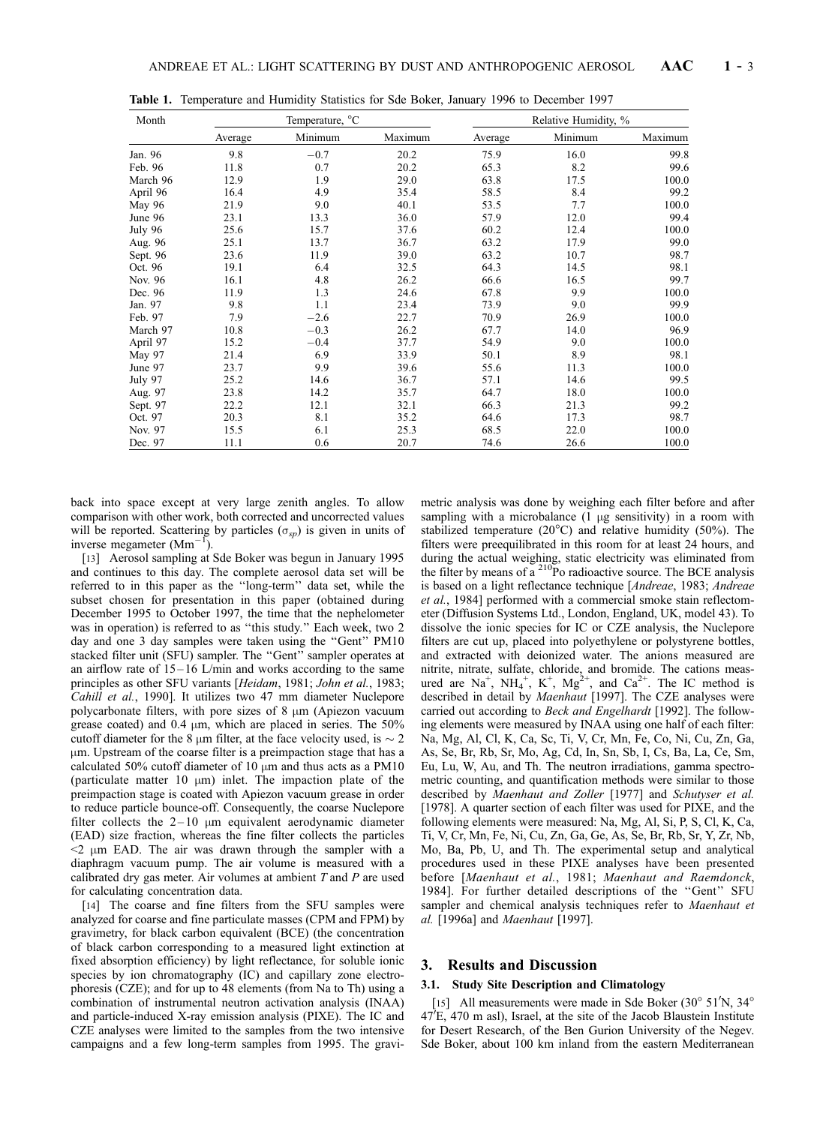| Month    |         | Temperature, °C |         | Relative Humidity, % |         |         |  |
|----------|---------|-----------------|---------|----------------------|---------|---------|--|
|          | Average | Minimum         | Maximum | Average              | Minimum | Maximum |  |
| Jan. 96  | 9.8     | $-0.7$          | 20.2    | 75.9                 | 16.0    | 99.8    |  |
| Feb. 96  | 11.8    | 0.7             | 20.2    | 65.3                 | 8.2     | 99.6    |  |
| March 96 | 12.9    | 1.9             | 29.0    | 63.8                 | 17.5    | 100.0   |  |
| April 96 | 16.4    | 4.9             | 35.4    | 58.5                 | 8.4     | 99.2    |  |
| May 96   | 21.9    | 9.0             | 40.1    | 53.5                 | 7.7     | 100.0   |  |
| June 96  | 23.1    | 13.3            | 36.0    | 57.9                 | 12.0    | 99.4    |  |
| July 96  | 25.6    | 15.7            | 37.6    | 60.2                 | 12.4    | 100.0   |  |
| Aug. 96  | 25.1    | 13.7            | 36.7    | 63.2                 | 17.9    | 99.0    |  |
| Sept. 96 | 23.6    | 11.9            | 39.0    | 63.2                 | 10.7    | 98.7    |  |
| Oct. 96  | 19.1    | 6.4             | 32.5    | 64.3                 | 14.5    | 98.1    |  |
| Nov. 96  | 16.1    | 4.8             | 26.2    | 66.6                 | 16.5    | 99.7    |  |
| Dec. 96  | 11.9    | 1.3             | 24.6    | 67.8                 | 9.9     | 100.0   |  |
| Jan. 97  | 9.8     | 1.1             | 23.4    | 73.9                 | 9.0     | 99.9    |  |
| Feb. 97  | 7.9     | $-2.6$          | 22.7    | 70.9                 | 26.9    | 100.0   |  |
| March 97 | 10.8    | $-0.3$          | 26.2    | 67.7                 | 14.0    | 96.9    |  |
| April 97 | 15.2    | $-0.4$          | 37.7    | 54.9                 | 9.0     | 100.0   |  |
| May 97   | 21.4    | 6.9             | 33.9    | 50.1                 | 8.9     | 98.1    |  |
| June 97  | 23.7    | 9.9             | 39.6    | 55.6                 | 11.3    | 100.0   |  |
| July 97  | 25.2    | 14.6            | 36.7    | 57.1                 | 14.6    | 99.5    |  |
| Aug. 97  | 23.8    | 14.2            | 35.7    | 64.7                 | 18.0    | 100.0   |  |
| Sept. 97 | 22.2    | 12.1            | 32.1    | 66.3                 | 21.3    | 99.2    |  |
| Oct. 97  | 20.3    | 8.1             | 35.2    | 64.6                 | 17.3    | 98.7    |  |
| Nov. 97  | 15.5    | 6.1             | 25.3    | 68.5                 | 22.0    | 100.0   |  |
| Dec. 97  | 11.1    | 0.6             | 20.7    | 74.6                 | 26.6    | 100.0   |  |

Table 1. Temperature and Humidity Statistics for Sde Boker, January 1996 to December 1997

back into space except at very large zenith angles. To allow comparison with other work, both corrected and uncorrected values will be reported. Scattering by particles  $(\sigma_{sp})$  is given in units of inverse megameter  $(Mm^{-1})$ .

[13] Aerosol sampling at Sde Boker was begun in January 1995 and continues to this day. The complete aerosol data set will be referred to in this paper as the ''long-term'' data set, while the subset chosen for presentation in this paper (obtained during December 1995 to October 1997, the time that the nephelometer was in operation) is referred to as ''this study.'' Each week, two 2 day and one 3 day samples were taken using the ''Gent'' PM10 stacked filter unit (SFU) sampler. The ''Gent'' sampler operates at an airflow rate of  $15 - 16$  L/min and works according to the same principles as other SFU variants [Heidam, 1981; John et al., 1983; Cahill et al., 1990]. It utilizes two 47 mm diameter Nuclepore polycarbonate filters, with pore sizes of  $8 \mu m$  (Apiezon vacuum grease coated) and 0.4  $\mu$ m, which are placed in series. The 50% cutoff diameter for the 8  $\mu$ m filter, at the face velocity used, is  $\sim$  2 mm. Upstream of the coarse filter is a preimpaction stage that has a calculated 50% cutoff diameter of 10  $\mu$ m and thus acts as a PM10 (particulate matter 10  $\mu$ m) inlet. The impaction plate of the preimpaction stage is coated with Apiezon vacuum grease in order to reduce particle bounce-off. Consequently, the coarse Nuclepore filter collects the  $2-10 \mu m$  equivalent aerodynamic diameter (EAD) size fraction, whereas the fine filter collects the particles  $\leq$   $2 \mu$ m EAD. The air was drawn through the sampler with a diaphragm vacuum pump. The air volume is measured with a calibrated dry gas meter. Air volumes at ambient  $T$  and  $P$  are used for calculating concentration data.

[14] The coarse and fine filters from the SFU samples were analyzed for coarse and fine particulate masses (CPM and FPM) by gravimetry, for black carbon equivalent (BCE) (the concentration of black carbon corresponding to a measured light extinction at fixed absorption efficiency) by light reflectance, for soluble ionic species by ion chromatography (IC) and capillary zone electrophoresis (CZE); and for up to 48 elements (from Na to Th) using a combination of instrumental neutron activation analysis (INAA) and particle-induced X-ray emission analysis (PIXE). The IC and CZE analyses were limited to the samples from the two intensive campaigns and a few long-term samples from 1995. The gravimetric analysis was done by weighing each filter before and after sampling with a microbalance  $(1 \mu g)$  sensitivity) in a room with stabilized temperature ( $20^{\circ}$ C) and relative humidity (50%). The filters were preequilibrated in this room for at least 24 hours, and during the actual weighing, static electricity was eliminated from the filter by means of  $a^{210}Po$  radioactive source. The BCE analysis is based on a light reflectance technique [Andreae, 1983; Andreae et al., 1984] performed with a commercial smoke stain reflectometer (Diffusion Systems Ltd., London, England, UK, model 43). To dissolve the ionic species for IC or CZE analysis, the Nuclepore filters are cut up, placed into polyethylene or polystyrene bottles, and extracted with deionized water. The anions measured are nitrite, nitrate, sulfate, chloride, and bromide. The cations measured are  $Na^+$ ,  $NH_4^+$ ,  $K^+$ ,  $Mg^{2+}$ , and  $Ca^{2+}$ . The IC method is described in detail by Maenhaut [1997]. The CZE analyses were carried out according to *Beck and Engelhardt* [1992]. The following elements were measured by INAA using one half of each filter: Na, Mg, Al, Cl, K, Ca, Sc, Ti, V, Cr, Mn, Fe, Co, Ni, Cu, Zn, Ga, As, Se, Br, Rb, Sr, Mo, Ag, Cd, In, Sn, Sb, I, Cs, Ba, La, Ce, Sm, Eu, Lu, W, Au, and Th. The neutron irradiations, gamma spectrometric counting, and quantification methods were similar to those described by Maenhaut and Zoller [1977] and Schutyser et al. [1978]. A quarter section of each filter was used for PIXE, and the following elements were measured: Na, Mg, Al, Si, P, S, Cl, K, Ca, Ti, V, Cr, Mn, Fe, Ni, Cu, Zn, Ga, Ge, As, Se, Br, Rb, Sr, Y, Zr, Nb, Mo, Ba, Pb, U, and Th. The experimental setup and analytical procedures used in these PIXE analyses have been presented before [Maenhaut et al., 1981; Maenhaut and Raemdonck, 1984]. For further detailed descriptions of the ''Gent'' SFU sampler and chemical analysis techniques refer to Maenhaut et al. [1996a] and Maenhaut [1997].

#### 3. Results and Discussion

#### 3.1. Study Site Description and Climatology

[15] All measurements were made in Sde Boker  $(30^{\circ} 51^{\prime}N, 34^{\circ}$  $47\text{°E}$ , 470 m asl), Israel, at the site of the Jacob Blaustein Institute for Desert Research, of the Ben Gurion University of the Negev. Sde Boker, about 100 km inland from the eastern Mediterranean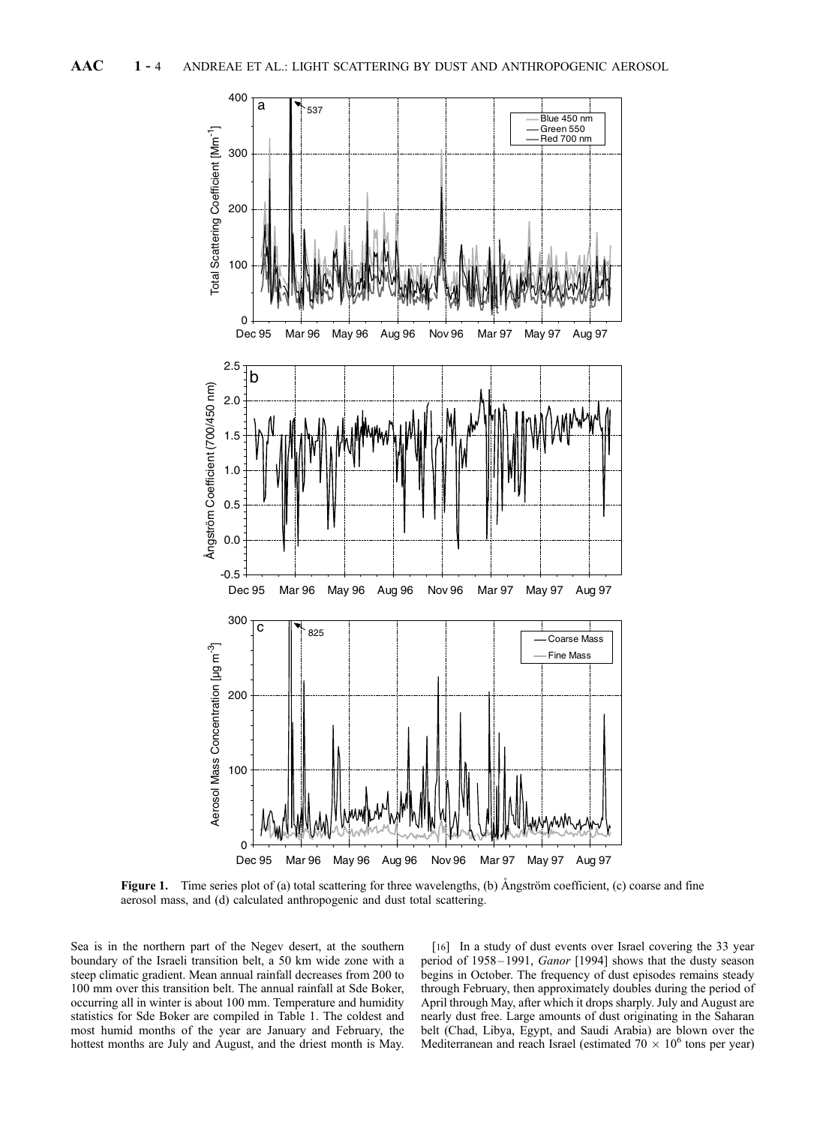

Figure 1. Time series plot of (a) total scattering for three wavelengths, (b) Angström coefficient, (c) coarse and fine aerosol mass, and (d) calculated anthropogenic and dust total scattering.

Sea is in the northern part of the Negev desert, at the southern boundary of the Israeli transition belt, a 50 km wide zone with a steep climatic gradient. Mean annual rainfall decreases from 200 to 100 mm over this transition belt. The annual rainfall at Sde Boker, occurring all in winter is about 100 mm. Temperature and humidity statistics for Sde Boker are compiled in Table 1. The coldest and most humid months of the year are January and February, the hottest months are July and August, and the driest month is May.

[16] In a study of dust events over Israel covering the 33 year period of 1958-1991, Ganor [1994] shows that the dusty season begins in October. The frequency of dust episodes remains steady through February, then approximately doubles during the period of April through May, after which it drops sharply. July and August are nearly dust free. Large amounts of dust originating in the Saharan belt (Chad, Libya, Egypt, and Saudi Arabia) are blown over the Mediterranean and reach Israel (estimated  $70 \times 10^6$  tons per year)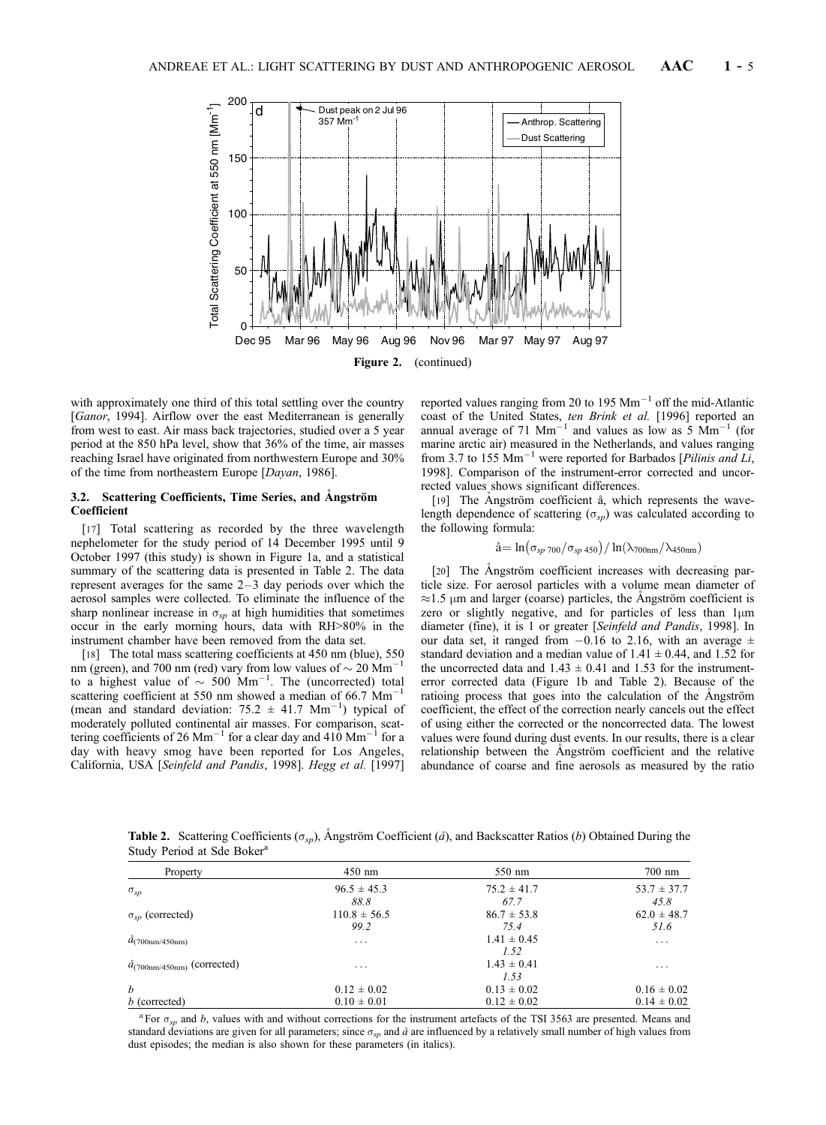

with approximately one third of this total settling over the country [*Ganor*, 1994]. Airflow over the east Mediterranean is generally from west to east. Air mass back trajectories, studied over a 5 year period at the 850 hPa level, show that 36% of the time, air masses reaching Israel have originated from northwestern Europe and 30% of the time from northeastern Europe [Dayan, 1986].

# 3.2. Scattering Coefficients, Time Series, and Angström Coefficient

[17] Total scattering as recorded by the three wavelength nephelometer for the study period of 14 December 1995 until 9 October 1997 (this study) is shown in Figure 1a, and a statistical summary of the scattering data is presented in Table 2. The data represent averages for the same  $2-3$  day periods over which the aerosol samples were collected. To eliminate the influence of the sharp nonlinear increase in  $\sigma_{sp}$  at high humidities that sometimes occur in the early morning hours, data with RH>80% in the instrument chamber have been removed from the data set.

[18] The total mass scattering coefficients at 450 nm (blue), 550<br>n (green), and 700 nm (red) vary from low values of  $\epsilon_0$ , 20 Mm<sup>-1</sup> nm (green), and 700 nm (red) vary from low values of  $\sim$  20 Mm<sup>-</sup> to a highest value of  $\sim 500 \text{ Mm}^{-1}$ . The (uncorrected) total scattering coefficient at 550 nm showed a median of 66.7  $\text{Mm}^{-1}$ (mean and standard deviation:  $75.2 \pm 41.7$  Mm<sup>-1</sup>) typical of moderately polluted continental air masses. For comparison, scattering coefficients of 26  $\text{Mm}^{-1}$  for a clear day and 410  $\text{Mm}^{-1}$  for a day with heavy smog have been reported for Los Angeles, California, USA [Seinfeld and Pandis, 1998]. Hegg et al. [1997] reported values ranging from 20 to 195  $\text{Mm}^{-1}$  off the mid-Atlantic coast of the United States, *ten Brink et al.* [1996] reported an annual average of 71 Mm<sup>-1</sup> and values as low as 5 Mm<sup>-1</sup> (for marine arctic air) measured in the Netherlands, and values ranging from 3.7 to 155  $\text{Mm}^{-1}$  were reported for Barbados [*Pilinis and Li*, 1998]. Comparison of the instrument-error corrected and uncorrected values shows significant differences.

[19] The Angström coefficient å, which represents the wavelength dependence of scattering ( $\sigma_{sp}$ ) was calculated according to the following formula:

$$
\mathring{a} = \ln(\sigma_{sp\ 700}/\sigma_{sp\ 450})/\ln(\lambda_{700nm}/\lambda_{450nm})
$$

[20] The Angström coefficient increases with decreasing particle size. For aerosol particles with a volume mean diameter of  $\approx$ 1.5 µm and larger (coarse) particles, the Angström coefficient is zero or slightly negative, and for particles of less than  $1\mu$ m diameter (fine), it is 1 or greater [Seinfeld and Pandis, 1998]. In our data set, it ranged from  $-0.16$  to 2.16, with an average  $\pm$ standard deviation and a median value of  $1.41 \pm 0.44$ , and  $1.52$  for the uncorrected data and  $1.43 \pm 0.41$  and 1.53 for the instrumenterror corrected data (Figure 1b and Table 2). Because of the ratioing process that goes into the calculation of the Angström coefficient, the effect of the correction nearly cancels out the effect of using either the corrected or the noncorrected data. The lowest values were found during dust events. In our results, there is a clear relationship between the Angström coefficient and the relative abundance of coarse and fine aerosols as measured by the ratio

**Table 2.** Scattering Coefficients ( $\sigma_{sp}$ ), Angström Coefficient ( $\hat{a}$ ), and Backscatter Ratios (b) Obtained During the Study Period at Sde Boker<sup>a</sup>

| Property                                | $450$ nm         | 550 nm          | $700$ nm                |
|-----------------------------------------|------------------|-----------------|-------------------------|
| $\sigma_{sp}$                           | $96.5 \pm 45.3$  | $75.2 \pm 41.7$ | $53.7 \pm 37.7$         |
|                                         | 88.8             | 67.7            | 45.8                    |
| $\sigma_{sp}$ (corrected)               | $110.8 \pm 56.5$ | $86.7 \pm 53.8$ | $62.0 \pm 48.7$         |
|                                         | 99.2             | 75.4            | 51.6                    |
| $a_{(700nm/450nm)}$                     | .                | $1.41 \pm 0.45$ | $\cdot$ $\cdot$ $\cdot$ |
|                                         |                  | 1.52            |                         |
| $\tilde{a}_{(700nm/450nm)}$ (corrected) | $\cdots$         | $1.43 \pm 0.41$ | $\cdot$                 |
|                                         |                  | 1.53            |                         |
| $\boldsymbol{h}$                        | $0.12 \pm 0.02$  | $0.13 \pm 0.02$ | $0.16 \pm 0.02$         |
| $b$ (corrected)                         | $0.10 \pm 0.01$  | $0.12 \pm 0.02$ | $0.14 \pm 0.02$         |

<sup>a</sup> For  $\sigma_{sp}$  and b, values with and without corrections for the instrument artefacts of the TSI 3563 are presented. Means and standard deviations are given for all parameters; since  $\sigma_{sp}$  and  $\hat{a}$  are influenced by a relatively small number of high values from dust episodes; the median is also shown for these parameters (in italics).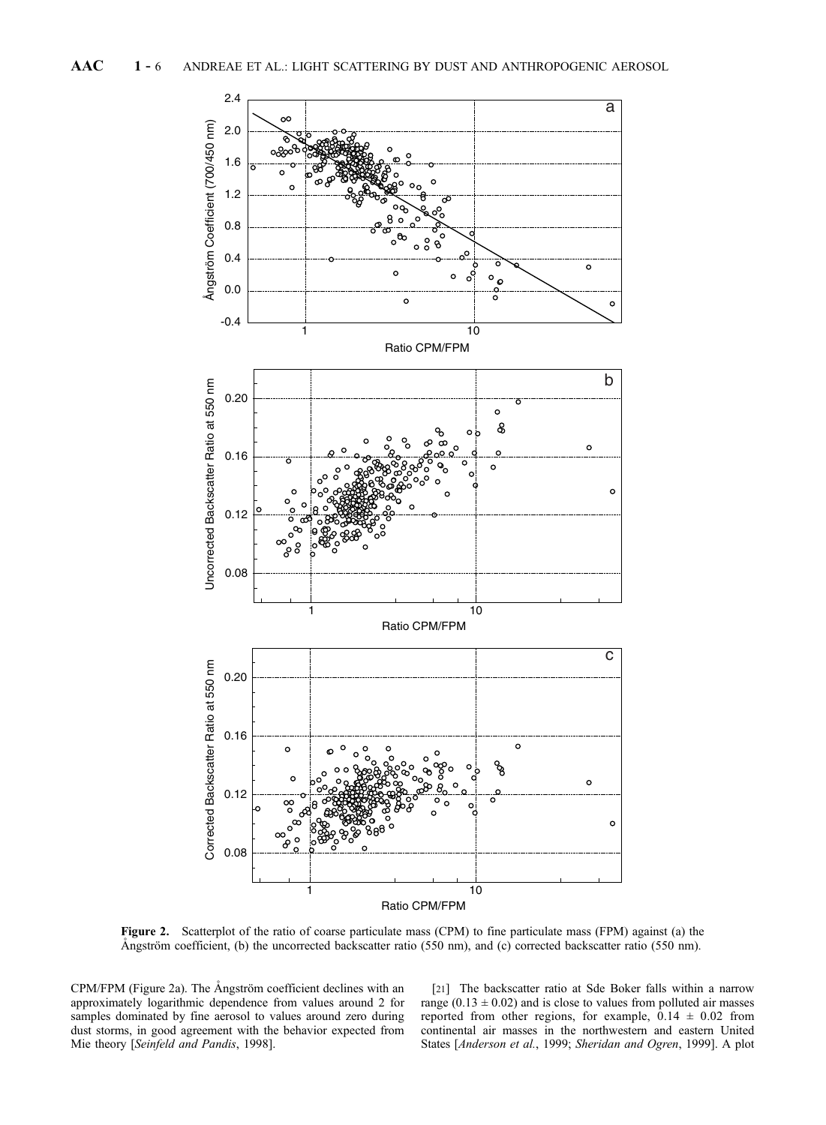

Figure 2. Scatterplot of the ratio of coarse particulate mass (CPM) to fine particulate mass (FPM) against (a) the Ångström coefficient, (b) the uncorrected backscatter ratio (550 nm), and (c) corrected backscatter ratio (550 nm).

CPM/FPM (Figure 2a). The Angström coefficient declines with an approximately logarithmic dependence from values around 2 for samples dominated by fine aerosol to values around zero during dust storms, in good agreement with the behavior expected from Mie theory [Seinfeld and Pandis, 1998].

[21] The backscatter ratio at Sde Boker falls within a narrow range (0.13  $\pm$  0.02) and is close to values from polluted air masses reported from other regions, for example,  $0.14 \pm 0.02$  from continental air masses in the northwestern and eastern United States [Anderson et al., 1999; Sheridan and Ogren, 1999]. A plot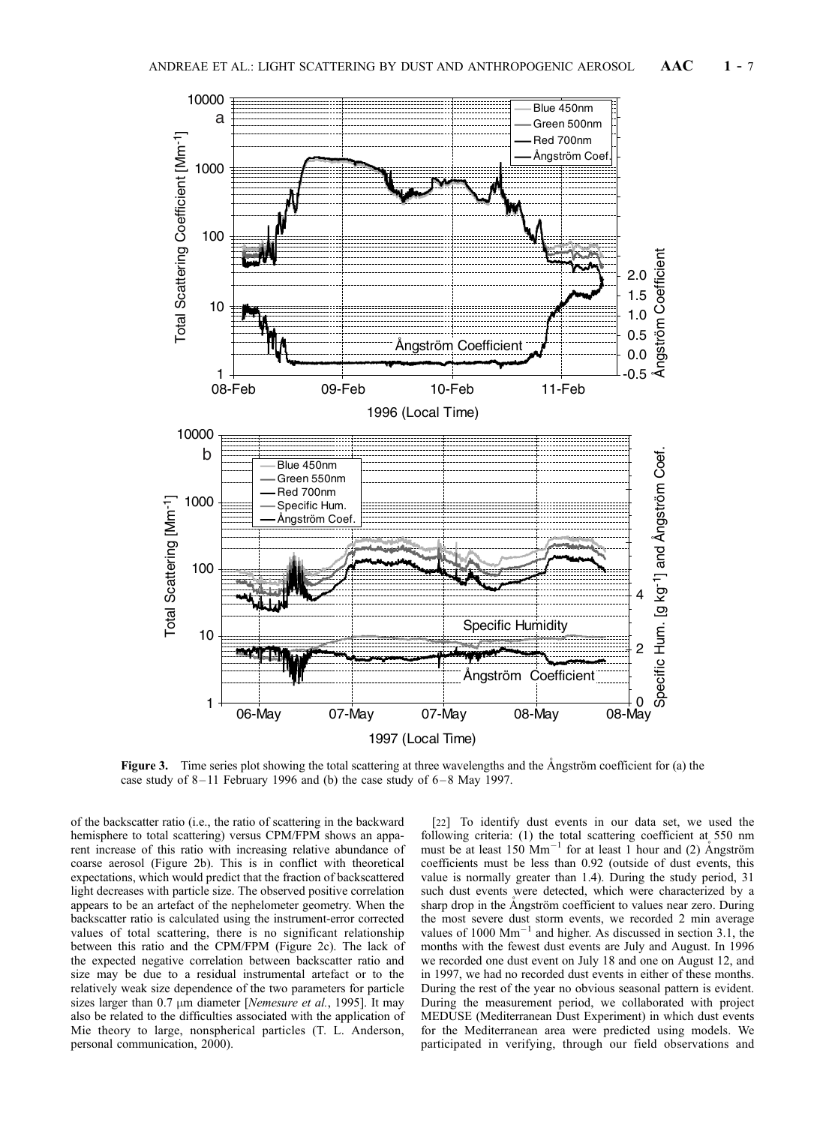

Figure 3. Time series plot showing the total scattering at three wavelengths and the  $\AA$ ngström coefficient for (a) the case study of  $8-11$  February 1996 and (b) the case study of  $6-8$  May 1997.

of the backscatter ratio (i.e., the ratio of scattering in the backward hemisphere to total scattering) versus CPM/FPM shows an apparent increase of this ratio with increasing relative abundance of coarse aerosol (Figure 2b). This is in conflict with theoretical expectations, which would predict that the fraction of backscattered light decreases with particle size. The observed positive correlation appears to be an artefact of the nephelometer geometry. When the backscatter ratio is calculated using the instrument-error corrected values of total scattering, there is no significant relationship between this ratio and the CPM/FPM (Figure 2c). The lack of the expected negative correlation between backscatter ratio and size may be due to a residual instrumental artefact or to the relatively weak size dependence of the two parameters for particle sizes larger than  $0.7 \mu m$  diameter [Nemesure et al., 1995]. It may also be related to the difficulties associated with the application of Mie theory to large, nonspherical particles (T. L. Anderson, personal communication, 2000).

[22] To identify dust events in our data set, we used the following criteria: (1) the total scattering coefficient at 550 nm must be at least  $150 \text{ Mm}^{-1}$  for at least 1 hour and (2) Angström coefficients must be less than 0.92 (outside of dust events, this value is normally greater than 1.4). During the study period, 31 such dust events were detected, which were characterized by a sharp drop in the Ångström coefficient to values near zero. During the most severe dust storm events, we recorded 2 min average values of  $1000 \text{ Mm}^{-1}$  and higher. As discussed in section 3.1, the months with the fewest dust events are July and August. In 1996 we recorded one dust event on July 18 and one on August 12, and in 1997, we had no recorded dust events in either of these months. During the rest of the year no obvious seasonal pattern is evident. During the measurement period, we collaborated with project MEDUSE (Mediterranean Dust Experiment) in which dust events for the Mediterranean area were predicted using models. We participated in verifying, through our field observations and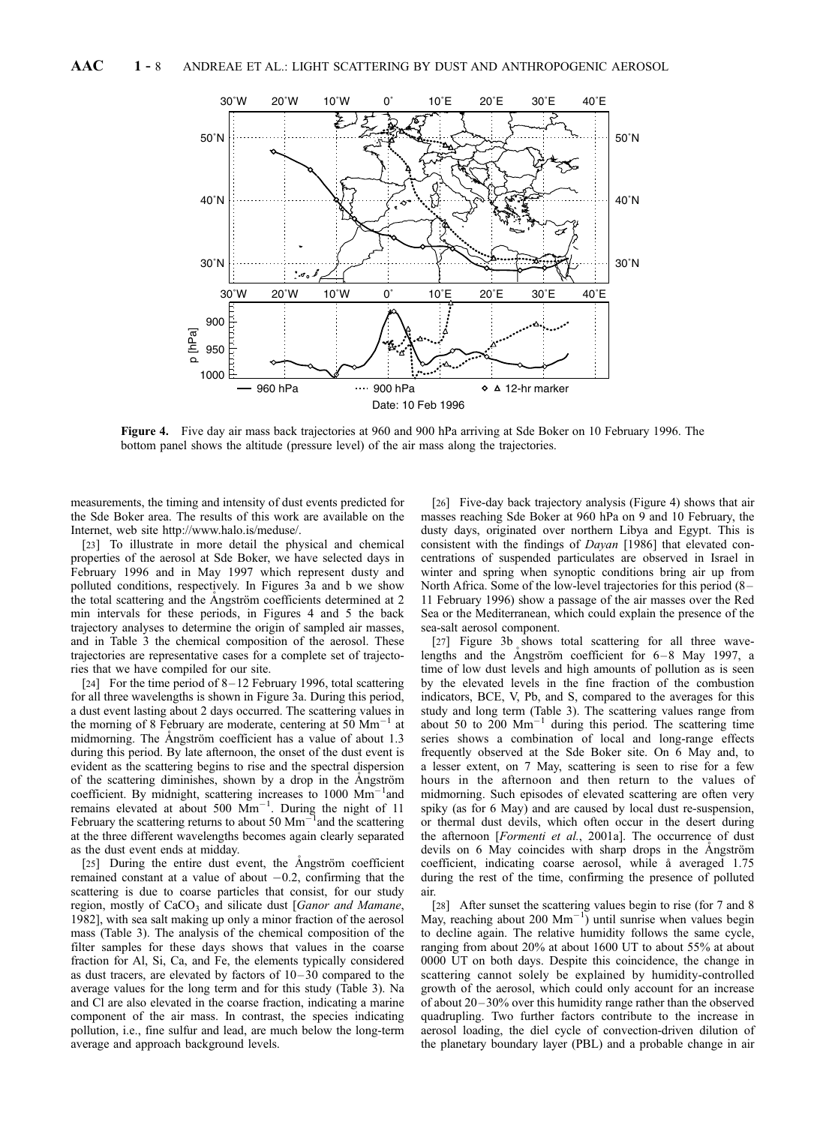

Figure 4. Five day air mass back trajectories at 960 and 900 hPa arriving at Sde Boker on 10 February 1996. The bottom panel shows the altitude (pressure level) of the air mass along the trajectories.

measurements, the timing and intensity of dust events predicted for the Sde Boker area. The results of this work are available on the Internet, web site http://www.halo.is/meduse/.

[23] To illustrate in more detail the physical and chemical properties of the aerosol at Sde Boker, we have selected days in February 1996 and in May 1997 which represent dusty and polluted conditions, respectively. In Figures 3a and b we show the total scattering and the Angström coefficients determined at 2 min intervals for these periods, in Figures 4 and 5 the back trajectory analyses to determine the origin of sampled air masses, and in Table 3 the chemical composition of the aerosol. These trajectories are representative cases for a complete set of trajectories that we have compiled for our site.

[24] For the time period of  $8-12$  February 1996, total scattering for all three wavelengths is shown in Figure 3a. During this period, a dust event lasting about 2 days occurred. The scattering values in the morning of 8 February are moderate, centering at  $50 \text{ Mm}^{-1}$  at midmorning. The Angström coefficient has a value of about 1.3 during this period. By late afternoon, the onset of the dust event is evident as the scattering begins to rise and the spectral dispersion of the scattering diminishes, shown by a drop in the Angström coefficient. By midnight, scattering increases to 1000 Mm<sup>-1</sup>and remains elevated at about 500  $\text{Mm}^{-1}$ . During the night of 11 February the scattering returns to about 50  $\text{Mm}^{-1}$  and the scattering at the three different wavelengths becomes again clearly separated as the dust event ends at midday.

[25] During the entire dust event, the Angström coefficient remained constant at a value of about  $-0.2$ , confirming that the scattering is due to coarse particles that consist, for our study region, mostly of  $CaCO<sub>3</sub>$  and silicate dust [Ganor and Mamane, 1982], with sea salt making up only a minor fraction of the aerosol mass (Table 3). The analysis of the chemical composition of the filter samples for these days shows that values in the coarse fraction for Al, Si, Ca, and Fe, the elements typically considered as dust tracers, are elevated by factors of  $10-30$  compared to the average values for the long term and for this study (Table 3). Na and Cl are also elevated in the coarse fraction, indicating a marine component of the air mass. In contrast, the species indicating pollution, i.e., fine sulfur and lead, are much below the long-term average and approach background levels.

[26] Five-day back trajectory analysis (Figure 4) shows that air masses reaching Sde Boker at 960 hPa on 9 and 10 February, the dusty days, originated over northern Libya and Egypt. This is consistent with the findings of Dayan [1986] that elevated concentrations of suspended particulates are observed in Israel in winter and spring when synoptic conditions bring air up from North Africa. Some of the low-level trajectories for this period (8 – 11 February 1996) show a passage of the air masses over the Red Sea or the Mediterranean, which could explain the presence of the sea-salt aerosol component.

[27] Figure 3b shows total scattering for all three wavelengths and the Angström coefficient for  $6-8$  May 1997, a time of low dust levels and high amounts of pollution as is seen by the elevated levels in the fine fraction of the combustion indicators, BCE, V, Pb, and S, compared to the averages for this study and long term (Table 3). The scattering values range from about 50 to  $200 \text{ Mm}^{-1}$  during this period. The scattering time series shows a combination of local and long-range effects frequently observed at the Sde Boker site. On 6 May and, to a lesser extent, on 7 May, scattering is seen to rise for a few hours in the afternoon and then return to the values of midmorning. Such episodes of elevated scattering are often very spiky (as for 6 May) and are caused by local dust re-suspension, or thermal dust devils, which often occur in the desert during the afternoon [Formenti et al., 2001a]. The occurrence of dust devils on 6 May coincides with sharp drops in the Angström coefficient, indicating coarse aerosol, while å averaged 1.75 during the rest of the time, confirming the presence of polluted air.

[28] After sunset the scattering values begin to rise (for 7 and 8) May, reaching about 200  $\text{Mm}^{-1}$ ) until sunrise when values begin to decline again. The relative humidity follows the same cycle, ranging from about 20% at about 1600 UT to about 55% at about 0000 UT on both days. Despite this coincidence, the change in scattering cannot solely be explained by humidity-controlled growth of the aerosol, which could only account for an increase of about 20 – 30% over this humidity range rather than the observed quadrupling. Two further factors contribute to the increase in aerosol loading, the diel cycle of convection-driven dilution of the planetary boundary layer (PBL) and a probable change in air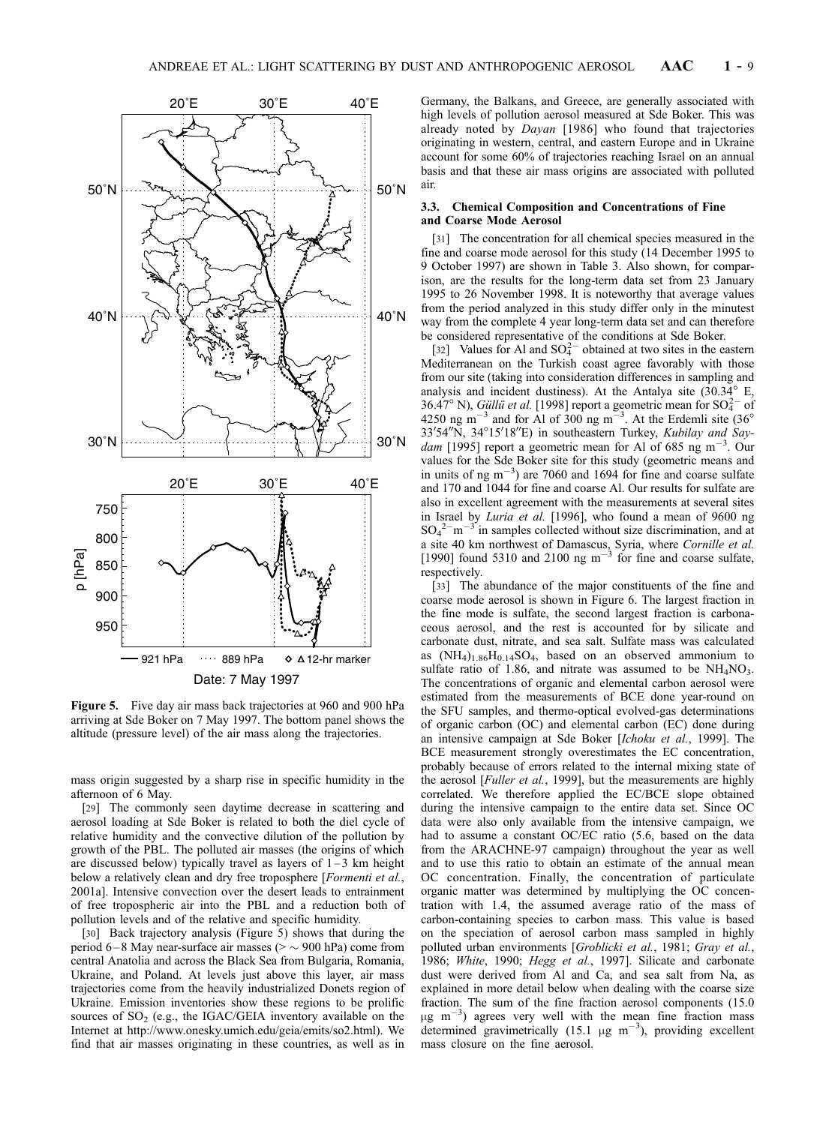

Figure 5. Five day air mass back trajectories at 960 and 900 hPa arriving at Sde Boker on 7 May 1997. The bottom panel shows the altitude (pressure level) of the air mass along the trajectories.

mass origin suggested by a sharp rise in specific humidity in the afternoon of 6 May.

[29] The commonly seen daytime decrease in scattering and aerosol loading at Sde Boker is related to both the diel cycle of relative humidity and the convective dilution of the pollution by growth of the PBL. The polluted air masses (the origins of which are discussed below) typically travel as layers of  $1-3$  km height below a relatively clean and dry free troposphere [*Formenti et al.*, 2001a]. Intensive convection over the desert leads to entrainment of free tropospheric air into the PBL and a reduction both of pollution levels and of the relative and specific humidity.

[30] Back trajectory analysis (Figure 5) shows that during the period 6–8 May near-surface air masses ( $>$   $\sim$  900 hPa) come from central Anatolia and across the Black Sea from Bulgaria, Romania, Ukraine, and Poland. At levels just above this layer, air mass trajectories come from the heavily industrialized Donets region of Ukraine. Emission inventories show these regions to be prolific sources of  $SO<sub>2</sub>$  (e.g., the IGAC/GEIA inventory available on the Internet at http://www.onesky.umich.edu/geia/emits/so2.html). We find that air masses originating in these countries, as well as in

Germany, the Balkans, and Greece, are generally associated with high levels of pollution aerosol measured at Sde Boker. This was already noted by Dayan [1986] who found that trajectories originating in western, central, and eastern Europe and in Ukraine account for some 60% of trajectories reaching Israel on an annual basis and that these air mass origins are associated with polluted air.

## 3.3. Chemical Composition and Concentrations of Fine and Coarse Mode Aerosol

[31] The concentration for all chemical species measured in the fine and coarse mode aerosol for this study (14 December 1995 to 9 October 1997) are shown in Table 3. Also shown, for comparison, are the results for the long-term data set from 23 January 1995 to 26 November 1998. It is noteworthy that average values from the period analyzed in this study differ only in the minutest way from the complete 4 year long-term data set and can therefore be considered representative of the conditions at Sde Boker.

[32] Values for Al and  $SO_4^{2-}$  obtained at two sites in the eastern Mediterranean on the Turkish coast agree favorably with those from our site (taking into consideration differences in sampling and analysis and incident dustiness). At the Antalya site  $(30.34^{\circ}$  E, 36.47° N), *Güllü et al.* [1998] report a geometric mean for  $SO_4^{2-}$  of  $4250$  ng m<sup>-3</sup> and for Al of 300 ng m<sup>-3</sup>. At the Erdemli site (36°<br>33'54"N, 34°15'18"E) in southeastern Turkey, *Kubilay and Say*dam [1995] report a geometric mean for Al of 685 ng m<sup>-3</sup>. Our values for the Sde Boker site for this study (geometric means and in units of ng  $m^{-3}$ ) are 7060 and 1694 for fine and coarse sulfate and 170 and 1044 for fine and coarse Al. Our results for sulfate are also in excellent agreement with the measurements at several sites in Israel by Luria et al. [1996], who found a mean of 9600 ng  $SO_4^2$ <sup>-</sup>m<sup>-3</sup> in samples collected without size discrimination, and at a site 40 km northwest of Damascus, Syria, where Cornille et al. [1990] found 5310 and 2100 ng  $m^{-3}$  for fine and coarse sulfate, respectively.

[33] The abundance of the major constituents of the fine and coarse mode aerosol is shown in Figure 6. The largest fraction in the fine mode is sulfate, the second largest fraction is carbonaceous aerosol, and the rest is accounted for by silicate and carbonate dust, nitrate, and sea salt. Sulfate mass was calculated as  $(NH_4)_{1.86}H_{0.14}SO_4$ , based on an observed ammonium to sulfate ratio of 1.86, and nitrate was assumed to be  $NH<sub>4</sub>NO<sub>3</sub>$ . The concentrations of organic and elemental carbon aerosol were estimated from the measurements of BCE done year-round on the SFU samples, and thermo-optical evolved-gas determinations of organic carbon (OC) and elemental carbon (EC) done during an intensive campaign at Sde Boker [Ichoku et al., 1999]. The BCE measurement strongly overestimates the EC concentration, probably because of errors related to the internal mixing state of the aerosol [Fuller et al., 1999], but the measurements are highly correlated. We therefore applied the EC/BCE slope obtained during the intensive campaign to the entire data set. Since OC data were also only available from the intensive campaign, we had to assume a constant OC/EC ratio (5.6, based on the data from the ARACHNE-97 campaign) throughout the year as well and to use this ratio to obtain an estimate of the annual mean OC concentration. Finally, the concentration of particulate organic matter was determined by multiplying the OC concentration with 1.4, the assumed average ratio of the mass of carbon-containing species to carbon mass. This value is based on the speciation of aerosol carbon mass sampled in highly polluted urban environments [*Groblicki et al.*, 1981; *Gray et al.*, 1986; White, 1990; Hegg et al., 1997]. Silicate and carbonate dust were derived from Al and Ca, and sea salt from Na, as explained in more detail below when dealing with the coarse size fraction. The sum of the fine fraction aerosol components (15.0  $\mu$ g m<sup>-3</sup>) agrees very well with the mean fine fraction mass determined gravimetrically (15.1  $\mu$ g m<sup>-3</sup>), providing excellent mass closure on the fine aerosol.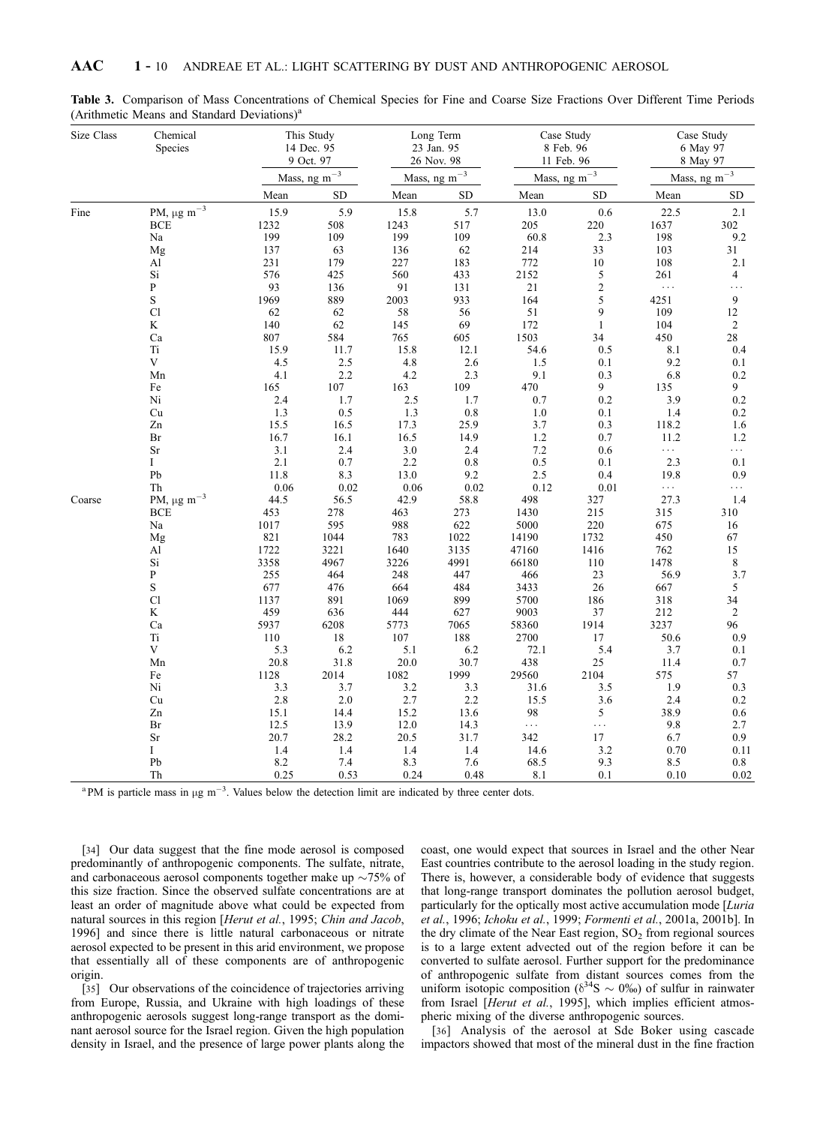| Size Class | Chemical<br>Species                             | This Study<br>14 Dec. 95<br>9 Oct. 97 |                       | Long Term<br>23 Jan. 95<br>26 Nov. 98 |                     | Case Study<br>8 Feb. 96<br>11 Feb. 96 |                            | Case Study<br>6 May 97<br>8 May 97 |                             |  |
|------------|-------------------------------------------------|---------------------------------------|-----------------------|---------------------------------------|---------------------|---------------------------------------|----------------------------|------------------------------------|-----------------------------|--|
|            |                                                 |                                       | Mass, ng m $^{-3}$    |                                       | Mass, ng m $^{-3}$  |                                       | Mass, ng m $^{-3}$         |                                    | Mass, ng m $^{-3}$          |  |
|            |                                                 | Mean                                  | ${\rm SD}$            | Mean                                  | <b>SD</b>           | Mean                                  | <b>SD</b>                  | Mean                               | <b>SD</b>                   |  |
| Fine       | PM, $\mu g\ m^{-3}$<br><b>BCE</b>               | 15.9<br>1232                          | 5.9<br>508            | 15.8<br>1243                          | 5.7<br>517          | 13.0<br>205                           | 0.6<br>220                 | 22.5<br>1637                       | 2.1<br>302                  |  |
|            | Na<br>Mg                                        | 199<br>137                            | 109<br>63             | 199<br>136                            | 109<br>62           | 60.8<br>214                           | 2.3<br>33                  | 198<br>103                         | 9.2<br>31                   |  |
|            | Al<br>Si<br>${\bf P}$                           | 231<br>576<br>93                      | 179<br>425<br>136     | 227<br>560<br>91                      | 183<br>433<br>131   | 772<br>2152<br>$21\,$                 | $10\,$<br>5<br>$rac{2}{5}$ | 108<br>261<br>$\ldots$             | 2.1<br>$\overline{4}$<br>.  |  |
|            | S<br>C1<br>K                                    | 1969<br>62<br>140                     | 889<br>62<br>62       | 2003<br>58<br>145                     | 933<br>56<br>69     | 164<br>$51\,$<br>172                  | 9<br>$\,1\,$               | 4251<br>109<br>104                 | 9<br>12<br>$\sqrt{2}$       |  |
|            | Ca<br>Ti                                        | 807<br>15.9                           | 584<br>11.7           | 765<br>15.8                           | 605<br>12.1         | 1503<br>54.6                          | 34<br>0.5                  | 450<br>8.1                         | 28<br>0.4                   |  |
|            | V<br>Mn                                         | 4.5<br>4.1                            | 2.5<br>2.2            | 4.8<br>4.2                            | 2.6<br>2.3          | 1.5<br>9.1                            | 0.1<br>0.3                 | 9.2<br>6.8                         | 0.1<br>0.2                  |  |
|            | Fe<br>Ni<br>Cu                                  | 165<br>2.4<br>1.3                     | $107\,$<br>1.7<br>0.5 | 163<br>$2.5\,$<br>1.3                 | 109<br>1.7<br>0.8   | 470<br>0.7<br>$1.0$                   | 9<br>0.2<br>0.1            | 135<br>3.9<br>1.4                  | 9<br>$0.2\,$<br>$0.2\,$     |  |
|            | Zn<br>Br                                        | 15.5<br>16.7                          | 16.5<br>16.1          | 17.3<br>16.5                          | 25.9<br>14.9        | 3.7<br>1.2                            | 0.3<br>0.7                 | 118.2<br>11.2                      | 1.6<br>1.2                  |  |
|            | Sr<br>Ι<br>Pb                                   | 3.1<br>2.1<br>11.8                    | 2.4<br>0.7<br>8.3     | 3.0<br>2.2<br>13.0                    | 2.4<br>0.8<br>9.2   | 7.2<br>0.5<br>2.5                     | 0.6<br>0.1<br>0.4          | $\ldots$<br>2.3<br>19.8            | $\ldots$<br>0.1<br>0.9      |  |
| Coarse     | Th<br>PM, $\mu$ g m <sup>-3</sup><br><b>BCE</b> | 0.06<br>44.5<br>453                   | 0.02<br>56.5<br>278   | 0.06<br>42.9<br>463                   | 0.02<br>58.8<br>273 | 0.12<br>498<br>1430                   | 0.01<br>327<br>215         | $\ldots$<br>27.3<br>315            | $\cdots$<br>1.4<br>310      |  |
|            | Na<br>Mg                                        | 1017<br>821                           | 595<br>1044           | 988<br>783                            | 622<br>1022         | 5000<br>14190                         | 220<br>1732                | 675<br>450                         | 16<br>67                    |  |
|            | Al<br>Si<br>$\, {\bf P}$                        | 1722<br>3358<br>255                   | 3221<br>4967<br>464   | 1640<br>3226<br>248                   | 3135<br>4991<br>447 | 47160<br>66180<br>466                 | 1416<br>110<br>23          | 762<br>1478<br>56.9                | $15\,$<br>$\,$ $\,$<br>3.7  |  |
|            | $\mathbf S$<br>Cl                               | 677<br>1137                           | 476<br>891            | 664<br>1069                           | 484<br>899          | 3433<br>5700                          | 26<br>186                  | 667<br>318                         | 5<br>34                     |  |
|            | K<br>Ca<br>Ti                                   | 459<br>5937<br>110                    | 636<br>6208<br>$18\,$ | 444<br>5773<br>107                    | 627<br>7065<br>188  | 9003<br>58360<br>2700                 | 37<br>1914<br>17           | 212<br>3237<br>50.6                | $\overline{2}$<br>96<br>0.9 |  |
|            | $\mathbf V$<br>Mn                               | 5.3<br>20.8                           | 6.2<br>31.8           | 5.1<br>20.0                           | 6.2<br>30.7         | 72.1<br>438                           | 5.4<br>25                  | 3.7<br>11.4                        | 0.1<br>0.7                  |  |
|            | Fe<br>Ni                                        | 1128<br>3.3                           | 2014<br>3.7           | 1082<br>3.2                           | 1999<br>3.3         | 29560<br>31.6                         | 2104<br>3.5                | 575<br>1.9                         | 57<br>0.3                   |  |
|            | Cu<br>Zn<br>Br                                  | 2.8<br>15.1<br>12.5                   | 2.0<br>14.4<br>13.9   | 2.7<br>15.2<br>12.0                   | 2.2<br>13.6<br>14.3 | 15.5<br>98<br>$\ldots$                | 3.6<br>5<br>$\ldots$       | 2.4<br>38.9<br>9.8                 | 0.2<br>$0.6\,$<br>2.7       |  |
|            | Sr<br>Ι                                         | 20.7<br>1.4                           | 28.2<br>1.4           | 20.5<br>1.4                           | 31.7<br>1.4         | 342<br>14.6                           | $17\,$<br>3.2              | 6.7<br>0.70                        | $0.9\,$<br>0.11             |  |
|            | Pb<br>Th                                        | 8.2<br>0.25                           | 7.4<br>0.53           | 8.3<br>0.24                           | 7.6<br>0.48         | 68.5<br>8.1                           | 9.3<br>0.1                 | 8.5<br>0.10                        | 0.8<br>0.02                 |  |

Table 3. Comparison of Mass Concentrations of Chemical Species for Fine and Coarse Size Fractions Over Different Time Periods (Arithmetic Means and Standard Deviations)<sup>a</sup>

<sup>a</sup>PM is particle mass in  $\mu$ g m<sup>-3</sup>. Values below the detection limit are indicated by three center dots.

[34] Our data suggest that the fine mode aerosol is composed predominantly of anthropogenic components. The sulfate, nitrate, and carbonaceous aerosol components together make up  $\sim$ 75% of this size fraction. Since the observed sulfate concentrations are at least an order of magnitude above what could be expected from natural sources in this region [Herut et al., 1995; Chin and Jacob, 1996] and since there is little natural carbonaceous or nitrate aerosol expected to be present in this arid environment, we propose that essentially all of these components are of anthropogenic origin.

[35] Our observations of the coincidence of trajectories arriving from Europe, Russia, and Ukraine with high loadings of these anthropogenic aerosols suggest long-range transport as the dominant aerosol source for the Israel region. Given the high population density in Israel, and the presence of large power plants along the coast, one would expect that sources in Israel and the other Near East countries contribute to the aerosol loading in the study region. There is, however, a considerable body of evidence that suggests that long-range transport dominates the pollution aerosol budget, particularly for the optically most active accumulation mode [Luria et al., 1996; Ichoku et al., 1999; Formenti et al., 2001a, 2001b]. In the dry climate of the Near East region,  $SO<sub>2</sub>$  from regional sources is to a large extent advected out of the region before it can be converted to sulfate aerosol. Further support for the predominance of anthropogenic sulfate from distant sources comes from the uniform isotopic composition ( $\delta^{34}S \sim 0\%$ ) of sulfur in rainwater from Israel [Herut et al., 1995], which implies efficient atmospheric mixing of the diverse anthropogenic sources.

[36] Analysis of the aerosol at Sde Boker using cascade impactors showed that most of the mineral dust in the fine fraction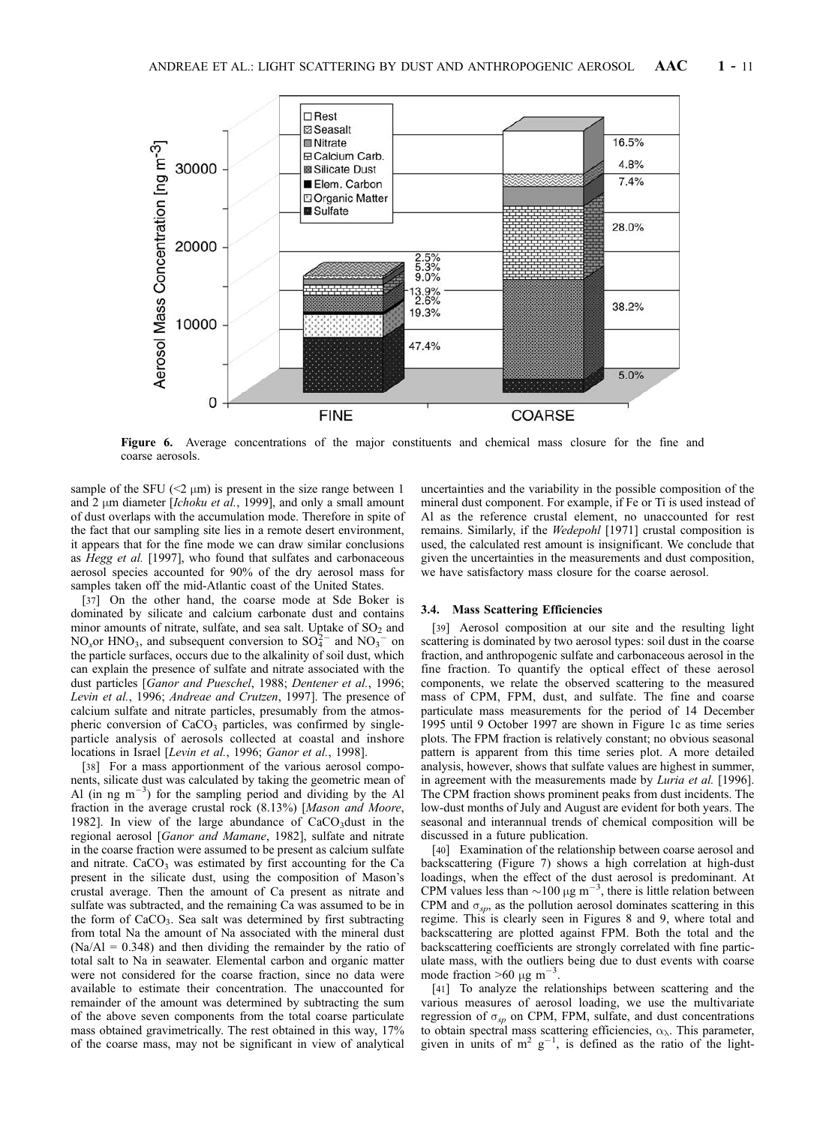

Figure 6. Average concentrations of the major constituents and chemical mass closure for the fine and coarse aerosols.

sample of the SFU ( $\leq$   $\mu$ m) is present in the size range between 1 and 2  $\mu$ m diameter [Ichoku et al., 1999], and only a small amount of dust overlaps with the accumulation mode. Therefore in spite of the fact that our sampling site lies in a remote desert environment, it appears that for the fine mode we can draw similar conclusions as Hegg et al. [1997], who found that sulfates and carbonaceous aerosol species accounted for 90% of the dry aerosol mass for samples taken off the mid-Atlantic coast of the United States.

[37] On the other hand, the coarse mode at Sde Boker is dominated by silicate and calcium carbonate dust and contains minor amounts of nitrate, sulfate, and sea salt. Uptake of  $SO<sub>2</sub>$  and NO<sub>x</sub>or HNO<sub>3</sub>, and subsequent conversion to  $SO_4^{2-}$  and  $NO_3^{2-}$  on the particle surfaces, occurs due to the alkalinity of soil dust, which can explain the presence of sulfate and nitrate associated with the dust particles [Ganor and Pueschel, 1988; Dentener et al., 1996; Levin et al., 1996; Andreae and Crutzen, 1997]. The presence of calcium sulfate and nitrate particles, presumably from the atmospheric conversion of CaCO<sub>3</sub> particles, was confirmed by singleparticle analysis of aerosols collected at coastal and inshore locations in Israel [Levin et al., 1996; Ganor et al., 1998].

[38] For a mass apportionment of the various aerosol components, silicate dust was calculated by taking the geometric mean of Al (in ng  $m^{-3}$ ) for the sampling period and dividing by the Al fraction in the average crustal rock (8.13%) [Mason and Moore, 1982]. In view of the large abundance of  $CaCO<sub>3</sub>$  dust in the regional aerosol [Ganor and Mamane, 1982], sulfate and nitrate in the coarse fraction were assumed to be present as calcium sulfate and nitrate.  $CaCO<sub>3</sub>$  was estimated by first accounting for the Ca present in the silicate dust, using the composition of Mason's crustal average. Then the amount of Ca present as nitrate and sulfate was subtracted, and the remaining Ca was assumed to be in the form of  $CaCO<sub>3</sub>$ . Sea salt was determined by first subtracting from total Na the amount of Na associated with the mineral dust  $(Na/A) = 0.348$ ) and then dividing the remainder by the ratio of total salt to Na in seawater. Elemental carbon and organic matter were not considered for the coarse fraction, since no data were available to estimate their concentration. The unaccounted for remainder of the amount was determined by subtracting the sum of the above seven components from the total coarse particulate mass obtained gravimetrically. The rest obtained in this way, 17% of the coarse mass, may not be significant in view of analytical

uncertainties and the variability in the possible composition of the mineral dust component. For example, if Fe or Ti is used instead of Al as the reference crustal element, no unaccounted for rest remains. Similarly, if the *Wedepohl* [1971] crustal composition is used, the calculated rest amount is insignificant. We conclude that given the uncertainties in the measurements and dust composition, we have satisfactory mass closure for the coarse aerosol.

## 3.4. Mass Scattering Efficiencies

[39] Aerosol composition at our site and the resulting light scattering is dominated by two aerosol types: soil dust in the coarse fraction, and anthropogenic sulfate and carbonaceous aerosol in the fine fraction. To quantify the optical effect of these aerosol components, we relate the observed scattering to the measured mass of CPM, FPM, dust, and sulfate. The fine and coarse particulate mass measurements for the period of 14 December 1995 until 9 October 1997 are shown in Figure 1c as time series plots. The FPM fraction is relatively constant; no obvious seasonal pattern is apparent from this time series plot. A more detailed analysis, however, shows that sulfate values are highest in summer, in agreement with the measurements made by *Luria et al.* [1996]. The CPM fraction shows prominent peaks from dust incidents. The low-dust months of July and August are evident for both years. The seasonal and interannual trends of chemical composition will be discussed in a future publication.

[40] Examination of the relationship between coarse aerosol and backscattering (Figure 7) shows a high correlation at high-dust loadings, when the effect of the dust aerosol is predominant. At CPM values less than  $\sim$ 100  $\mu$ g m<sup>-3</sup>, there is little relation between CPM and  $\sigma_{sp}$ , as the pollution aerosol dominates scattering in this regime. This is clearly seen in Figures 8 and 9, where total and backscattering are plotted against FPM. Both the total and the backscattering coefficients are strongly correlated with fine particulate mass, with the outliers being due to dust events with coarse mode fraction  $>60 \mu g$  m<sup>-3</sup> .

[41] To analyze the relationships between scattering and the various measures of aerosol loading, we use the multivariate regression of  $\sigma_{sp}$  on CPM, FPM, sulfate, and dust concentrations to obtain spectral mass scattering efficiencies,  $\alpha_{\lambda}$ . This parameter, given in units of  $m^2$   $g^{-1}$ , is defined as the ratio of the light-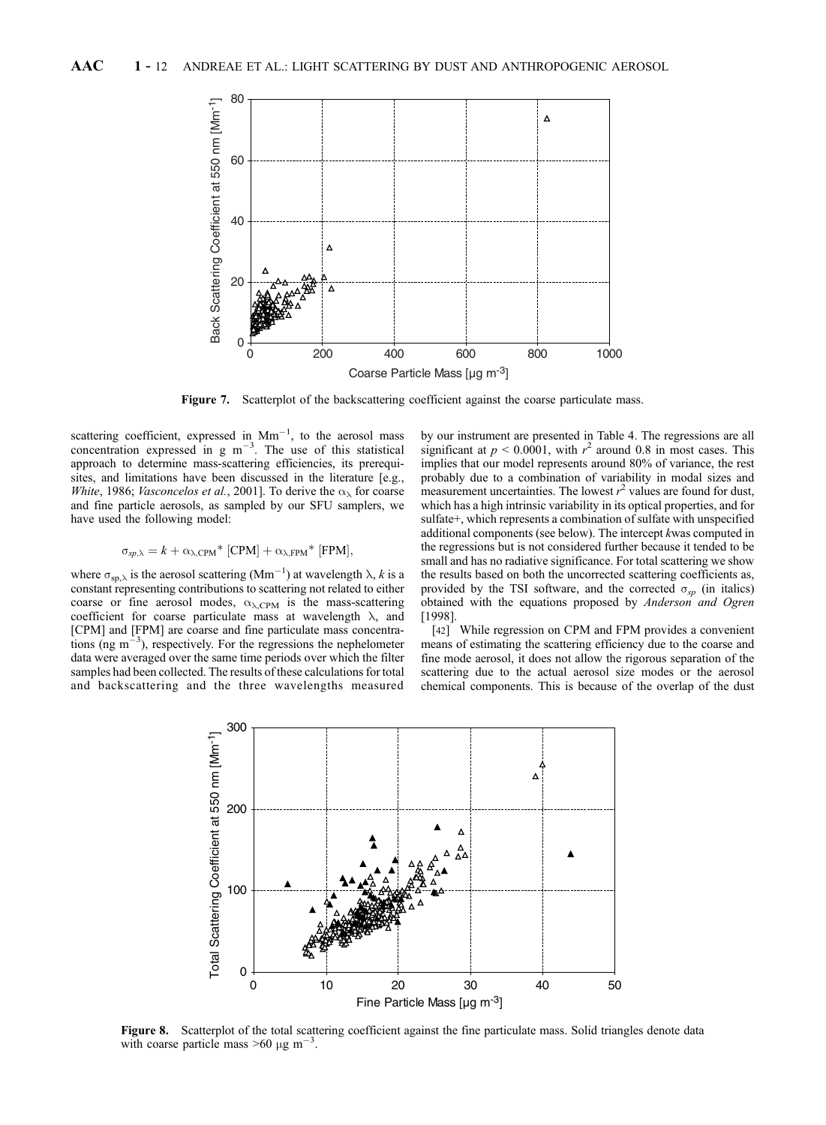

Figure 7. Scatterplot of the backscattering coefficient against the coarse particulate mass.

scattering coefficient, expressed in  $Mm^{-1}$ , to the aerosol mass concentration expressed in g  $m^{-3}$ . The use of this statistical approach to determine mass-scattering efficiencies, its prerequisites, and limitations have been discussed in the literature [e.g., White, 1986; Vasconcelos et al., 2001]. To derive the  $\alpha_{\lambda}$  for coarse and fine particle aerosols, as sampled by our SFU samplers, we have used the following model:

$$
\sigma_{sp,\lambda} = k + \alpha_{\lambda,\text{CPM}}^* [\text{CPM}] + \alpha_{\lambda,\text{FPM}}^* [\text{FPM}],
$$

where  $\sigma_{\rm sp, \lambda}$  is the aerosol scattering (Mm<sup>-1</sup>) at wavelength  $\lambda$ , k is a constant representing contributions to scattering not related to either coarse or fine aerosol modes,  $\alpha_{\lambda,CPM}$  is the mass-scattering coefficient for coarse particulate mass at wavelength  $\lambda$ , and [CPM] and [FPM] are coarse and fine particulate mass concentrations (ng  $m^{-3}$ ), respectively. For the regressions the nephelometer data were averaged over the same time periods over which the filter samples had been collected. The results of these calculations for total and backscattering and the three wavelengths measured by our instrument are presented in Table 4. The regressions are all significant at  $p < 0.0001$ , with  $r^2$  around 0.8 in most cases. This implies that our model represents around 80% of variance, the rest probably due to a combination of variability in modal sizes and measurement uncertainties. The lowest  $r^2$  values are found for dust, which has a high intrinsic variability in its optical properties, and for sulfate+, which represents a combination of sulfate with unspecified additional components (see below). The intercept kwas computed in the regressions but is not considered further because it tended to be small and has no radiative significance. For total scattering we show the results based on both the uncorrected scattering coefficients as, provided by the TSI software, and the corrected  $\sigma_{sp}$  (in italics) obtained with the equations proposed by Anderson and Ogren [1998].

[42] While regression on CPM and FPM provides a convenient means of estimating the scattering efficiency due to the coarse and fine mode aerosol, it does not allow the rigorous separation of the scattering due to the actual aerosol size modes or the aerosol chemical components. This is because of the overlap of the dust



Figure 8. Scatterplot of the total scattering coefficient against the fine particulate mass. Solid triangles denote data with coarse particle mass  $>60 \mu g m^{-3}$ .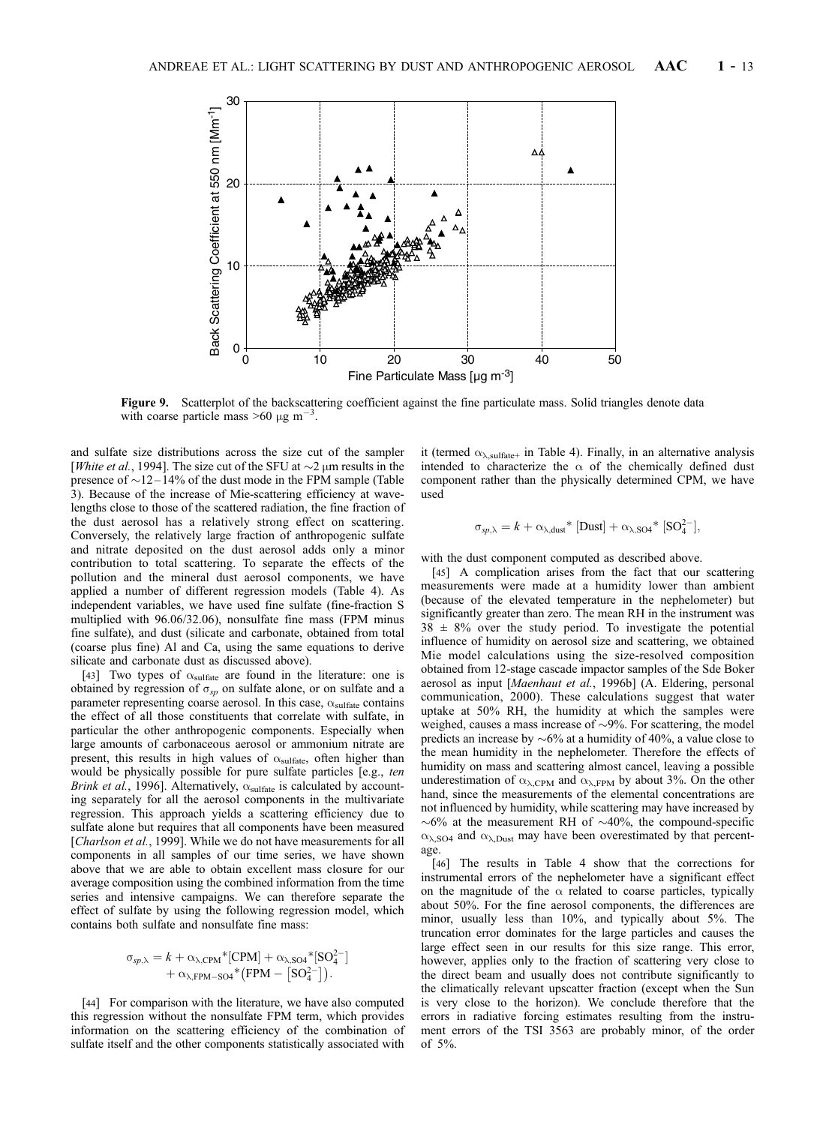

Figure 9. Scatterplot of the backscattering coefficient against the fine particulate mass. Solid triangles denote data with coarse particle mass  $>60 \mu g m^{-3}$ .

and sulfate size distributions across the size cut of the sampler [*White et al.*, 1994]. The size cut of the SFU at  $\sim$ 2  $\mu$ m results in the presence of  $\sim$  12 – 14% of the dust mode in the FPM sample (Table 3). Because of the increase of Mie-scattering efficiency at wavelengths close to those of the scattered radiation, the fine fraction of the dust aerosol has a relatively strong effect on scattering. Conversely, the relatively large fraction of anthropogenic sulfate and nitrate deposited on the dust aerosol adds only a minor contribution to total scattering. To separate the effects of the pollution and the mineral dust aerosol components, we have applied a number of different regression models (Table 4). As independent variables, we have used fine sulfate (fine-fraction S multiplied with 96.06/32.06), nonsulfate fine mass (FPM minus fine sulfate), and dust (silicate and carbonate, obtained from total (coarse plus fine) Al and Ca, using the same equations to derive silicate and carbonate dust as discussed above).

[43] Two types of  $\alpha_{\text{sulfate}}$  are found in the literature: one is obtained by regression of  $\sigma_{sp}$  on sulfate alone, or on sulfate and a parameter representing coarse aerosol. In this case,  $\alpha_{\text{sulfate}}$  contains the effect of all those constituents that correlate with sulfate, in particular the other anthropogenic components. Especially when large amounts of carbonaceous aerosol or ammonium nitrate are present, this results in high values of  $\alpha_{\text{sulfate}}$ , often higher than would be physically possible for pure sulfate particles [e.g., ten Brink et al., 1996]. Alternatively,  $\alpha_{\text{sulfate}}$  is calculated by accounting separately for all the aerosol components in the multivariate regression. This approach yields a scattering efficiency due to sulfate alone but requires that all components have been measured [Charlson et al., 1999]. While we do not have measurements for all components in all samples of our time series, we have shown above that we are able to obtain excellent mass closure for our average composition using the combined information from the time series and intensive campaigns. We can therefore separate the effect of sulfate by using the following regression model, which contains both sulfate and nonsulfate fine mass:

$$
\sigma_{sp,\lambda} = k + \alpha_{\lambda,\text{CPM}} \cdot \text{[CPM]} + \alpha_{\lambda,\text{SO4}} \cdot \text{[SO4]} + \alpha_{\lambda,\text{FPM}-\text{SO4}} \cdot \text{[FPM]} - \text{[SO4]}.
$$

[44] For comparison with the literature, we have also computed this regression without the nonsulfate FPM term, which provides information on the scattering efficiency of the combination of sulfate itself and the other components statistically associated with

it (termed  $\alpha_{\lambda,\text{suffixed}}$  in Table 4). Finally, in an alternative analysis intended to characterize the  $\alpha$  of the chemically defined dust component rather than the physically determined CPM, we have used

$$
\sigma_{sp,\lambda} = k + \alpha_{\lambda, \text{dust}} \cdot \text{[Dust]} + \alpha_{\lambda, \text{SO4}} \cdot \text{[SO4]}^2,
$$

with the dust component computed as described above.

[45] A complication arises from the fact that our scattering measurements were made at a humidity lower than ambient (because of the elevated temperature in the nephelometer) but significantly greater than zero. The mean RH in the instrument was  $38 \pm 8\%$  over the study period. To investigate the potential influence of humidity on aerosol size and scattering, we obtained Mie model calculations using the size-resolved composition obtained from 12-stage cascade impactor samples of the Sde Boker aerosol as input [Maenhaut et al., 1996b] (A. Eldering, personal communication, 2000). These calculations suggest that water uptake at 50% RH, the humidity at which the samples were weighed, causes a mass increase of  $\sim$ 9%. For scattering, the model predicts an increase by  $\sim 6\%$  at a humidity of 40%, a value close to the mean humidity in the nephelometer. Therefore the effects of humidity on mass and scattering almost cancel, leaving a possible underestimation of  $\alpha_{\lambda,CPM}$  and  $\alpha_{\lambda,FPM}$  by about 3%. On the other hand, since the measurements of the elemental concentrations are not influenced by humidity, while scattering may have increased by  $\sim 6\%$  at the measurement RH of  $\sim 40\%$ , the compound-specific  $\alpha_{\lambda,SO4}$  and  $\alpha_{\lambda,Dust}$  may have been overestimated by that percentage.

[46] The results in Table 4 show that the corrections for instrumental errors of the nephelometer have a significant effect on the magnitude of the  $\alpha$  related to coarse particles, typically about 50%. For the fine aerosol components, the differences are minor, usually less than 10%, and typically about 5%. The truncation error dominates for the large particles and causes the large effect seen in our results for this size range. This error, however, applies only to the fraction of scattering very close to the direct beam and usually does not contribute significantly to the climatically relevant upscatter fraction (except when the Sun is very close to the horizon). We conclude therefore that the errors in radiative forcing estimates resulting from the instrument errors of the TSI 3563 are probably minor, of the order of 5%.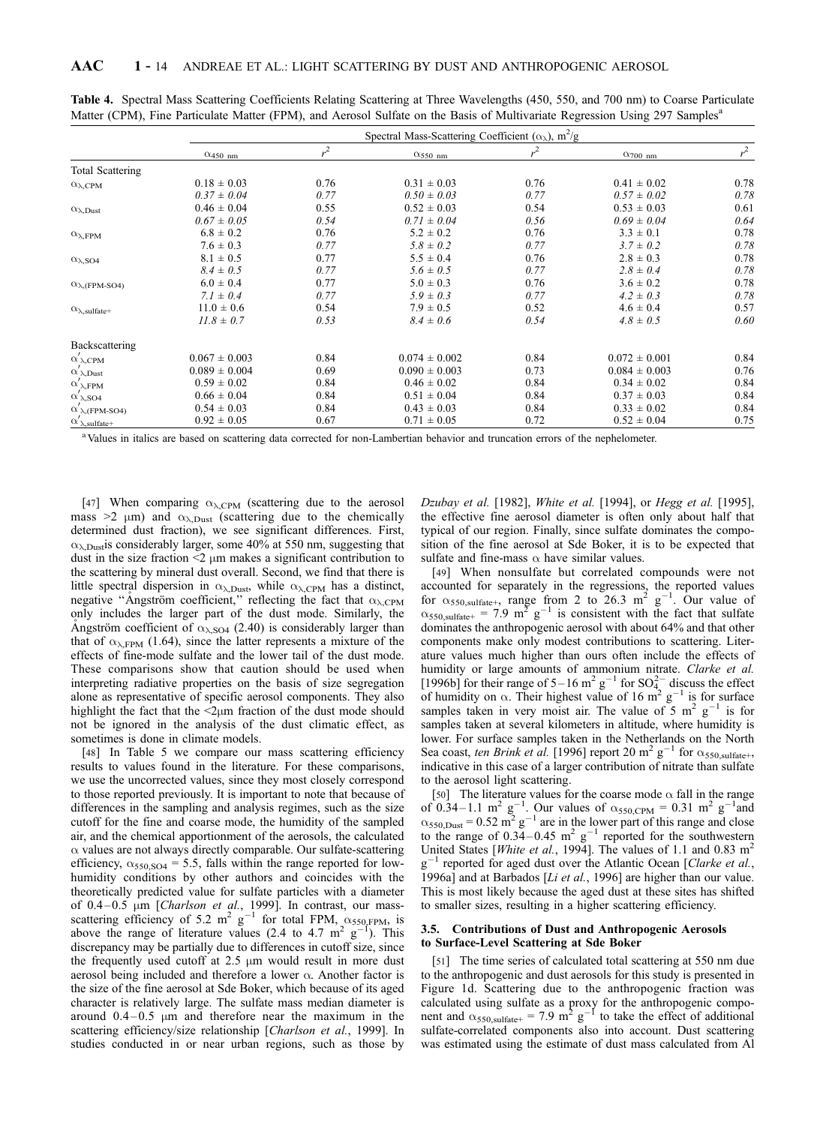|                                                     | Spectral Mass-Scattering Coefficient ( $\alpha_{\lambda}$ ), m <sup>2</sup> /g |                |                           |       |                            |       |  |  |  |
|-----------------------------------------------------|--------------------------------------------------------------------------------|----------------|---------------------------|-------|----------------------------|-------|--|--|--|
|                                                     | $\alpha_{450 \text{ nm}}$                                                      | r <sup>2</sup> | $\alpha_{550 \text{ nm}}$ | $r^2$ | $\alpha$ <sub>700 nm</sub> | $r^2$ |  |  |  |
| <b>Total Scattering</b>                             |                                                                                |                |                           |       |                            |       |  |  |  |
| $\alpha_{\lambda,CPM}$                              | $0.18 \pm 0.03$                                                                | 0.76           | $0.31 \pm 0.03$           | 0.76  | $0.41 \pm 0.02$            | 0.78  |  |  |  |
|                                                     | $0.37 \pm 0.04$                                                                | 0.77           | $0.50 \pm 0.03$           | 0.77  | $0.57 \pm 0.02$            | 0.78  |  |  |  |
| $\alpha_{\lambda, \text{Dust}}$                     | $0.46 \pm 0.04$                                                                | 0.55           | $0.52 \pm 0.03$           | 0.54  | $0.53 \pm 0.03$            | 0.61  |  |  |  |
|                                                     | $0.67 \pm 0.05$                                                                | 0.54           | $0.71 \pm 0.04$           | 0.56  | $0.69 \pm 0.04$            | 0.64  |  |  |  |
| $\alpha_{\lambda,\text{FPM}}$                       | $6.8 \pm 0.2$                                                                  | 0.76           | $5.2 \pm 0.2$             | 0.76  | $3.3 \pm 0.1$              | 0.78  |  |  |  |
|                                                     | $7.6 \pm 0.3$                                                                  | 0.77           | $5.8 \pm 0.2$             | 0.77  | $3.7 \pm 0.2$              | 0.78  |  |  |  |
| $\alpha_{\lambda,SO4}$                              | $8.1 \pm 0.5$                                                                  | 0.77           | $5.5 \pm 0.4$             | 0.76  | $2.8 \pm 0.3$              | 0.78  |  |  |  |
|                                                     | $8.4 \pm 0.5$                                                                  | 0.77           | $5.6 \pm 0.5$             | 0.77  | $2.8 \pm 0.4$              | 0.78  |  |  |  |
| $\alpha_{\lambda, (FPM\text{-}SO4)}$                | $6.0 \pm 0.4$                                                                  | 0.77           | $5.0 \pm 0.3$             | 0.76  | $3.6 \pm 0.2$              | 0.78  |  |  |  |
|                                                     | $7.1 \pm 0.4$                                                                  | 0.77           | $5.9 \pm 0.3$             | 0.77  | $4.2 \pm 0.3$              | 0.78  |  |  |  |
| $\alpha_{\lambda, \text{sulfate+}}$                 | $11.0 \pm 0.6$                                                                 | 0.54           | $7.9 \pm 0.5$             | 0.52  | $4.6 \pm 0.4$              | 0.57  |  |  |  |
|                                                     | $11.8 \pm 0.7$                                                                 | 0.53           | $8.4 \pm 0.6$             | 0.54  | $4.8 \pm 0.5$              | 0.60  |  |  |  |
| Backscattering                                      |                                                                                |                |                           |       |                            |       |  |  |  |
| $\alpha'_{\lambda, \text{CPM}}$                     | $0.067 \pm 0.003$                                                              | 0.84           | $0.074 \pm 0.002$         | 0.84  | $0.072 \pm 0.001$          | 0.84  |  |  |  |
| $\alpha'_{\lambda, \text{Dust}}$                    | $0.089 \pm 0.004$                                                              | 0.69           | $0.090 \pm 0.003$         | 0.73  | $0.084 \pm 0.003$          | 0.76  |  |  |  |
| $\alpha'$ <sub><math>\lambda</math>,FPM</sub>       | $0.59 \pm 0.02$                                                                | 0.84           | $0.46 \pm 0.02$           | 0.84  | $0.34 \pm 0.02$            | 0.84  |  |  |  |
| $\alpha_{\lambda,SO4}$                              | $0.66 \pm 0.04$                                                                | 0.84           | $0.51 \pm 0.04$           | 0.84  | $0.37 \pm 0.03$            | 0.84  |  |  |  |
| $\alpha$ $_{\lambda}$ (FPM-SO4)                     | $0.54 \pm 0.03$                                                                | 0.84           | $0.43 \pm 0.03$           | 0.84  | $0.33 \pm 0.02$            | 0.84  |  |  |  |
| $\alpha'$ <sub><math>\lambda</math></sub> ,sulfate+ | $0.92 \pm 0.05$                                                                | 0.67           | $0.71 \pm 0.05$           | 0.72  | $0.52 \pm 0.04$            | 0.75  |  |  |  |
|                                                     |                                                                                |                |                           |       |                            |       |  |  |  |

Table 4. Spectral Mass Scattering Coefficients Relating Scattering at Three Wavelengths (450, 550, and 700 nm) to Coarse Particulate Matter (CPM), Fine Particulate Matter (FPM), and Aerosol Sulfate on the Basis of Multivariate Regression Using 297 Samples<sup>a</sup>

<sup>a</sup> Values in italics are based on scattering data corrected for non-Lambertian behavior and truncation errors of the nephelometer.

[47] When comparing  $\alpha_{\lambda,CPM}$  (scattering due to the aerosol mass  $>2$   $\mu$ m) and  $\alpha_{\lambda, \text{Dust}}$  (scattering due to the chemically determined dust fraction), we see significant differences. First,  $\alpha_{\lambda, \text{Dust}}$  considerably larger, some 40% at 550 nm, suggesting that dust in the size fraction  $\leq$   $\mu$ m makes a significant contribution to the scattering by mineral dust overall. Second, we find that there is little spectral dispersion in  $\alpha_{\lambda, \text{Dust}}$ , while  $\alpha_{\lambda, \text{CPM}}$  has a distinct, negative "Angström coefficient," reflecting the fact that  $\alpha_{\lambda, \text{CPM}}$ only includes the larger part of the dust mode. Similarly, the Angström coefficient of  $\alpha_{\lambda,SO4}$  (2.40) is considerably larger than that of  $\alpha_{\lambda, FPM}$  (1.64), since the latter represents a mixture of the effects of fine-mode sulfate and the lower tail of the dust mode. These comparisons show that caution should be used when interpreting radiative properties on the basis of size segregation alone as representative of specific aerosol components. They also highlight the fact that the  $\langle 2\mu m \rangle$  fraction of the dust mode should not be ignored in the analysis of the dust climatic effect, as sometimes is done in climate models.

[48] In Table 5 we compare our mass scattering efficiency results to values found in the literature. For these comparisons, we use the uncorrected values, since they most closely correspond to those reported previously. It is important to note that because of differences in the sampling and analysis regimes, such as the size cutoff for the fine and coarse mode, the humidity of the sampled air, and the chemical apportionment of the aerosols, the calculated  $\alpha$  values are not always directly comparable. Our sulfate-scattering efficiency,  $\alpha_{550,SO4} = 5.5$ , falls within the range reported for lowhumidity conditions by other authors and coincides with the theoretically predicted value for sulfate particles with a diameter of  $0.4 - 0.5$  µm [Charlson et al., 1999]. In contrast, our massscattering efficiency of 5.2 m<sup>2</sup> g<sup>-1</sup> for total FPM,  $\alpha_{550, \text{FPM}}$ , is above the range of literature values (2.4 to 4.7  $\text{m}^2$  g<sup>-1</sup>). This discrepancy may be partially due to differences in cutoff size, since the frequently used cutoff at  $2.5 \mu m$  would result in more dust aerosol being included and therefore a lower  $\alpha$ . Another factor is the size of the fine aerosol at Sde Boker, which because of its aged character is relatively large. The sulfate mass median diameter is around  $0.4 - 0.5$  µm and therefore near the maximum in the scattering efficiency/size relationship [Charlson et al., 1999]. In studies conducted in or near urban regions, such as those by

Dzubay et al. [1982], White et al. [1994], or Hegg et al. [1995], the effective fine aerosol diameter is often only about half that typical of our region. Finally, since sulfate dominates the composition of the fine aerosol at Sde Boker, it is to be expected that sulfate and fine-mass  $\alpha$  have similar values.

[49] When nonsulfate but correlated compounds were not accounted for separately in the regressions, the reported values<br>for  $\alpha_{550,\text{sulfate}+}$ , range from 2 to 26.3 m<sup>2</sup> g<sup>-1</sup>. Our value of  $\alpha_{550, \text{sulfate+}} = 7.9 \text{ m}^2 \text{ g}^{-1}$  is consistent with the fact that sulfate dominates the anthropogenic aerosol with about 64% and that other components make only modest contributions to scattering. Literature values much higher than ours often include the effects of humidity or large amounts of ammonium nitrate. Clarke et al. [1996b] for their range of 5–16 m<sup>2</sup> g<sup>-1</sup> for SO<sub>4</sub><sup>-</sup> discuss the effect of humidity on  $\alpha$ . Their highest value of 16 m<sup>2</sup> g<sup>-1</sup> is for surface samples taken in very moist air. The value of  $5 \text{ m}^2 \text{ g}^{-1}$  is for samples taken at several kilometers in altitude, where humidity is lower. For surface samples taken in the Netherlands on the North Sea coast, ten Brink et al. [1996] report 20 m<sup>2</sup> g<sup>-1</sup> for  $\alpha_{550, \text{sulfate+}}$ , indicative in this case of a larger contribution of nitrate than sulfate to the aerosol light scattering.

[50] The literature values for the coarse mode  $\alpha$  fall in the range of 0.34–1.1 m<sup>2</sup> g<sup>-1</sup>. Our values of  $\alpha_{550,\text{CPM}} = 0.31 \text{ m}^2 \text{ g}^{-1}$  and  $\alpha_{550,\text{Dust}} = 0.52 \text{ m}^2 \text{ g}^{-1}$  are in the lower part of this range and close to the range of  $0.34-0.45$  m<sup>2</sup> g<sup>-1</sup> reported for the southwestern United States [*White et al.*, 1994]. The values of 1.1 and 0.83 m<sup>2</sup>  $g^{-1}$  reported for aged dust over the Atlantic Ocean [Clarke et al., 1996a] and at Barbados [Li et al., 1996] are higher than our value. This is most likely because the aged dust at these sites has shifted to smaller sizes, resulting in a higher scattering efficiency.

## 3.5. Contributions of Dust and Anthropogenic Aerosols to Surface-Level Scattering at Sde Boker

[51] The time series of calculated total scattering at 550 nm due to the anthropogenic and dust aerosols for this study is presented in Figure 1d. Scattering due to the anthropogenic fraction was calculated using sulfate as a proxy for the anthropogenic component and  $\alpha_{550, \text{sulfate}+} = 7.9 \text{ m}^2 \text{ g}^{-1}$  to take the effect of additional sulfate-correlated components also into account. Dust scattering was estimated using the estimate of dust mass calculated from Al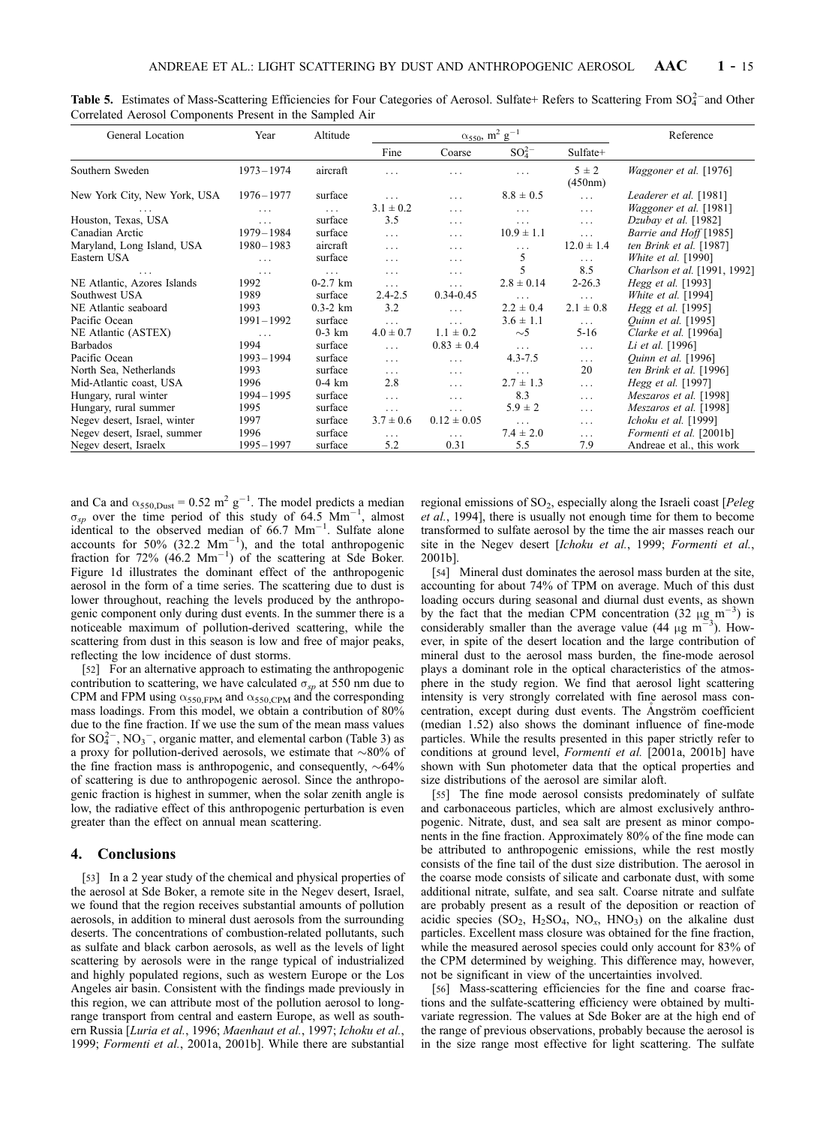| General Location             | Year          | Altitude     | $\alpha_{550}$ , m <sup>2</sup> g <sup>-1</sup> |                 |                | Reference            |                               |
|------------------------------|---------------|--------------|-------------------------------------------------|-----------------|----------------|----------------------|-------------------------------|
|                              |               |              | Fine                                            | Coarse          | $SO_4^{2-}$    | Sulfate+             |                               |
| Southern Sweden              | $1973 - 1974$ | aircraft     | $\cdots$                                        | .               | $\cdots$       | $5 \pm 2$<br>(450nm) | Waggoner et al. [1976]        |
| New York City, New York, USA | $1976 - 1977$ | surface      | $\cdots$                                        | $\cdots$        | $8.8 \pm 0.5$  | $\ldots$             | Leaderer et al. [1981]        |
|                              | .             | $\ldots$     | $3.1 \pm 0.2$                                   | $\cdots$        | $\cdots$       | $\ldots$             | <i>Waggoner et al.</i> [1981] |
| Houston, Texas, USA          | $\cdots$      | surface      | 3.5                                             | $\cdots$        | $\cdots$       | $\cdots$             | Dzubay et al. [1982]          |
| Canadian Arctic              | $1979 - 1984$ | surface      | $\cdots$                                        | $\cdots$        | $10.9 \pm 1.1$ | $\cdots$             | Barrie and Hoff [1985]        |
| Maryland, Long Island, USA   | $1980 - 1983$ | aircraft     | $\cdots$                                        | $\cdots$        | $\cdots$       | $12.0 \pm 1.4$       | ten Brink et al. [1987]       |
| Eastern USA                  | $\cdots$      | surface      | $\cdots$                                        | $\cdots$        | 5              | $\ldots$             | <i>White et al.</i> [1990]    |
|                              | $\cdots$      | $\cdots$     | $\cdots$                                        | $\cdots$        | 5              | 8.5                  | Charlson et al. [1991, 1992]  |
| NE Atlantic, Azores Islands  | 1992          | $0-2.7$ km   | $\cdots$                                        | $\cdots$        | $2.8 \pm 0.14$ | $2 - 26.3$           | Hegg et al. [1993]            |
| Southwest USA                | 1989          | surface      | $2.4 - 2.5$                                     | $0.34 - 0.45$   | $\cdots$       | $\cdots$             | White et al. $[1994]$         |
| NE Atlantic seaboard         | 1993          | $0.3 - 2 km$ | 3.2                                             | $\cdots$        | $2.2 \pm 0.4$  | $2.1 \pm 0.8$        | Hegg et al. [1995]            |
| Pacific Ocean                | $1991 - 1992$ | surface      | $\ldots$                                        | $\cdots$        | $3.6 \pm 1.1$  | $\cdots$             | <i>Ouinn et al.</i> [1995]    |
| NE Atlantic (ASTEX)          | $\cdots$      | $0-3$ km     | $4.0 \pm 0.7$                                   | $1.1 \pm 0.2$   | $\sim$ 5       | $5-16$               | Clarke et al. [1996a]         |
| <b>Barbados</b>              | 1994          | surface      | $\cdots$                                        | $0.83 \pm 0.4$  | $\cdots$       | $\ldots$             | Li et al. [1996]              |
| Pacific Ocean                | 1993-1994     | surface      | $\cdots$                                        | $\cdots$        | $4.3 - 7.5$    | $\cdots$             | Quinn et al. [1996]           |
| North Sea, Netherlands       | 1993          | surface      | $\cdots$                                        | $\cdots$        | $\cdots$       | 20                   | ten Brink et al. [1996]       |
| Mid-Atlantic coast, USA      | 1996          | $0-4$ km     | 2.8                                             | $\cdots$        | $2.7 \pm 1.3$  | $\ldots$             | Hegg et al. [1997]            |
| Hungary, rural winter        | 1994-1995     | surface      | $\ldots$                                        | $\cdots$        | 8.3            | $\ldots$             | Meszaros et al. [1998]        |
| Hungary, rural summer        | 1995          | surface      | $\cdots$                                        | $\cdots$        | $5.9 \pm 2$    | $\cdots$             | Meszaros et al. [1998]        |
| Negev desert, Israel, winter | 1997          | surface      | $3.7 \pm 0.6$                                   | $0.12 \pm 0.05$ | $\cdots$       | $\cdots$             | Ichoku et al. [1999]          |
| Negev desert, Israel, summer | 1996          | surface      | $\cdots$                                        | $\cdots$        | $7.4 \pm 2.0$  | $\cdots$             | Formenti et al. [2001b]       |
| Negev desert, Israelx        | $1995 - 1997$ | surface      | 5.2                                             | 0.31            | 5.5            | 7.9                  | Andreae et al., this work     |

Table 5. Estimates of Mass-Scattering Efficiencies for Four Categories of Aerosol. Sulfate+ Refers to Scattering From  $SO_4^{2-}$ and Other Correlated Aerosol Components Present in the Sampled Air

and Ca and  $\alpha_{550,\text{Dust}} = 0.52 \text{ m}^2 \text{ g}^{-1}$ . The model predicts a median  $\sigma_{sp}$  over the time period of this study of 64.5 Mm<sup>-1</sup>, almost identical to the observed median of  $66.7 \text{ Mm}^{-1}$ . Sulfate alone accounts for 50% (32.2  $\text{Mm}^{-1}$ ), and the total anthropogenic fraction for  $72\%$  (46.2 Mm<sup>-1</sup>) of the scattering at Sde Boker. Figure 1d illustrates the dominant effect of the anthropogenic aerosol in the form of a time series. The scattering due to dust is lower throughout, reaching the levels produced by the anthropogenic component only during dust events. In the summer there is a noticeable maximum of pollution-derived scattering, while the scattering from dust in this season is low and free of major peaks, reflecting the low incidence of dust storms.

[52] For an alternative approach to estimating the anthropogenic contribution to scattering, we have calculated  $\sigma_{sp}$  at 550 nm due to CPM and FPM using  $\alpha_{550, FPM}$  and  $\alpha_{550, CPM}$  and the corresponding mass loadings. From this model, we obtain a contribution of 80% due to the fine fraction. If we use the sum of the mean mass values for  $SO_4^{2-}$ ,  $NO_3^-$ , organic matter, and elemental carbon (Table 3) as a proxy for pollution-derived aerosols, we estimate that  $\sim80\%$  of the fine fraction mass is anthropogenic, and consequently,  $\sim 64\%$ of scattering is due to anthropogenic aerosol. Since the anthropogenic fraction is highest in summer, when the solar zenith angle is low, the radiative effect of this anthropogenic perturbation is even greater than the effect on annual mean scattering.

# 4. Conclusions

[53] In a 2 year study of the chemical and physical properties of the aerosol at Sde Boker, a remote site in the Negev desert, Israel, we found that the region receives substantial amounts of pollution aerosols, in addition to mineral dust aerosols from the surrounding deserts. The concentrations of combustion-related pollutants, such as sulfate and black carbon aerosols, as well as the levels of light scattering by aerosols were in the range typical of industrialized and highly populated regions, such as western Europe or the Los Angeles air basin. Consistent with the findings made previously in this region, we can attribute most of the pollution aerosol to longrange transport from central and eastern Europe, as well as southern Russia [Luria et al., 1996; Maenhaut et al., 1997; Ichoku et al., 1999; Formenti et al., 2001a, 2001b]. While there are substantial

regional emissions of  $SO_2$ , especially along the Israeli coast [ $Peleg$ ] et al., 1994], there is usually not enough time for them to become transformed to sulfate aerosol by the time the air masses reach our site in the Negev desert [Ichoku et al., 1999; Formenti et al., 2001b].

[54] Mineral dust dominates the aerosol mass burden at the site, accounting for about 74% of TPM on average. Much of this dust loading occurs during seasonal and diurnal dust events, as shown by the fact that the median CPM concentration  $(32 \mu g m^{-3})$  is considerably smaller than the average value (44  $\mu$ g m<sup>-3</sup>). However, in spite of the desert location and the large contribution of mineral dust to the aerosol mass burden, the fine-mode aerosol plays a dominant role in the optical characteristics of the atmosphere in the study region. We find that aerosol light scattering intensity is very strongly correlated with fine aerosol mass concentration, except during dust events. The Angström coefficient (median 1.52) also shows the dominant influence of fine-mode particles. While the results presented in this paper strictly refer to conditions at ground level, Formenti et al. [2001a, 2001b] have shown with Sun photometer data that the optical properties and size distributions of the aerosol are similar aloft.

[55] The fine mode aerosol consists predominately of sulfate and carbonaceous particles, which are almost exclusively anthropogenic. Nitrate, dust, and sea salt are present as minor components in the fine fraction. Approximately 80% of the fine mode can be attributed to anthropogenic emissions, while the rest mostly consists of the fine tail of the dust size distribution. The aerosol in the coarse mode consists of silicate and carbonate dust, with some additional nitrate, sulfate, and sea salt. Coarse nitrate and sulfate are probably present as a result of the deposition or reaction of acidic species  $(SO_2, H_2SO_4, NO_x, HNO_3)$  on the alkaline dust particles. Excellent mass closure was obtained for the fine fraction, while the measured aerosol species could only account for 83% of the CPM determined by weighing. This difference may, however, not be significant in view of the uncertainties involved.

[56] Mass-scattering efficiencies for the fine and coarse fractions and the sulfate-scattering efficiency were obtained by multivariate regression. The values at Sde Boker are at the high end of the range of previous observations, probably because the aerosol is in the size range most effective for light scattering. The sulfate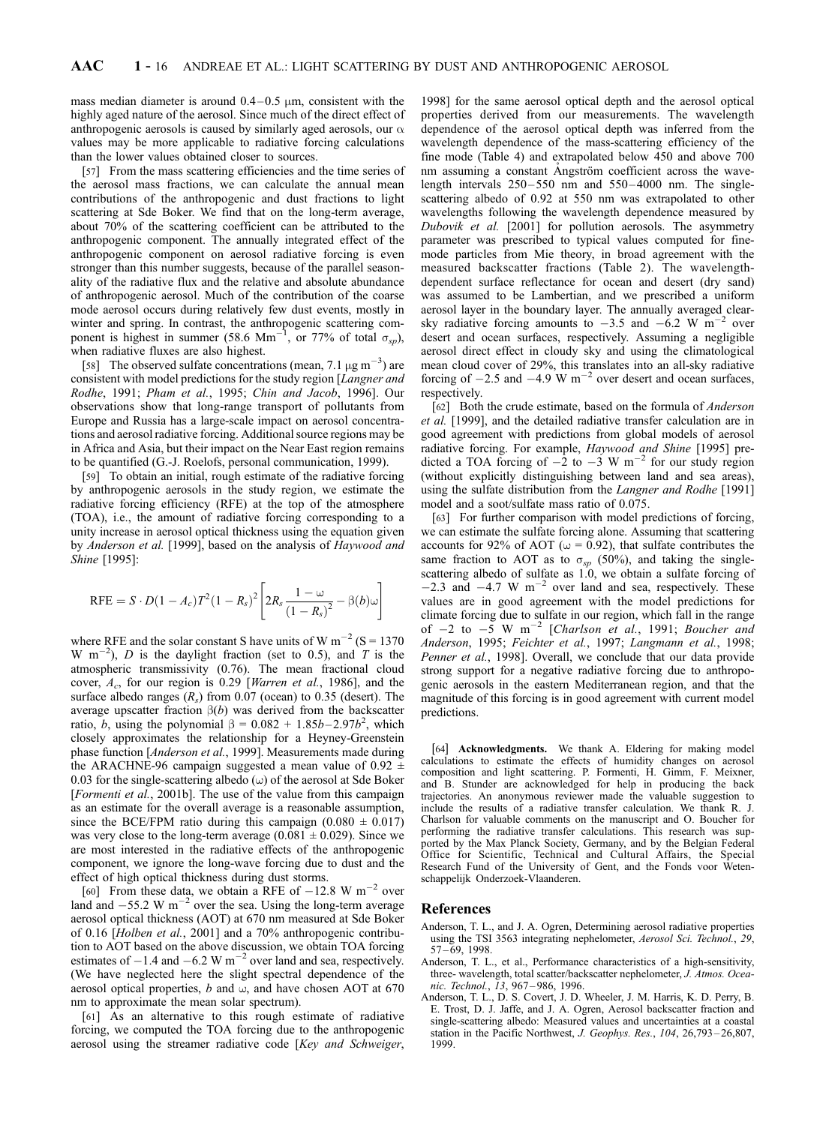mass median diameter is around  $0.4-0.5 \mu m$ , consistent with the highly aged nature of the aerosol. Since much of the direct effect of anthropogenic aerosols is caused by similarly aged aerosols, our  $\alpha$ values may be more applicable to radiative forcing calculations than the lower values obtained closer to sources.

[57] From the mass scattering efficiencies and the time series of the aerosol mass fractions, we can calculate the annual mean contributions of the anthropogenic and dust fractions to light scattering at Sde Boker. We find that on the long-term average, about 70% of the scattering coefficient can be attributed to the anthropogenic component. The annually integrated effect of the anthropogenic component on aerosol radiative forcing is even stronger than this number suggests, because of the parallel seasonality of the radiative flux and the relative and absolute abundance of anthropogenic aerosol. Much of the contribution of the coarse mode aerosol occurs during relatively few dust events, mostly in winter and spring. In contrast, the anthropogenic scattering component is highest in summer (58.6 Mm<sup>-1</sup>, or 77% of total  $\sigma_{sp}$ ), when radiative fluxes are also highest.

[58] The observed sulfate concentrations (mean, 7.1  $\mu$ g m<sup>-3</sup>) are consistent with model predictions for the study region [Langner and Rodhe, 1991; Pham et al., 1995; Chin and Jacob, 1996]. Our observations show that long-range transport of pollutants from Europe and Russia has a large-scale impact on aerosol concentrations and aerosol radiative forcing. Additional source regions may be in Africa and Asia, but their impact on the Near East region remains to be quantified (G.-J. Roelofs, personal communication, 1999).

[59] To obtain an initial, rough estimate of the radiative forcing by anthropogenic aerosols in the study region, we estimate the radiative forcing efficiency (RFE) at the top of the atmosphere (TOA), i.e., the amount of radiative forcing corresponding to a unity increase in aerosol optical thickness using the equation given by Anderson et al. [1999], based on the analysis of Haywood and Shine [1995]:

$$
RFE = S \cdot D(1 - A_c)T^2(1 - R_s)^2 \left[ 2R_s \frac{1 - \omega}{(1 - R_s)^2} - \beta(b)\omega \right]
$$

where RFE and the solar constant S have units of W  $m^{-2}$  (S = 1370) W m<sup>-2</sup>), *D* is the daylight fraction (set to 0.5), and *T* is the atmospheric transmissivity (0.76). The mean fractional cloud cover,  $A_c$ , for our region is 0.29 [*Warren et al.*, 1986], and the surface albedo ranges  $(R_s)$  from 0.07 (ocean) to 0.35 (desert). The average upscatter fraction  $\beta(b)$  was derived from the backscatter ratio, *b*, using the polynomial  $\beta = 0.082 + 1.85b - 2.97b^2$ , which closely approximates the relationship for a Heyney-Greenstein phase function [Anderson et al., 1999]. Measurements made during the ARACHNE-96 campaign suggested a mean value of 0.92  $\pm$ 0.03 for the single-scattering albedo  $(\omega)$  of the aerosol at Sde Boker [Formenti et al., 2001b]. The use of the value from this campaign as an estimate for the overall average is a reasonable assumption, since the BCE/FPM ratio during this campaign  $(0.080 \pm 0.017)$ was very close to the long-term average  $(0.081 \pm 0.029)$ . Since we are most interested in the radiative effects of the anthropogenic component, we ignore the long-wave forcing due to dust and the effect of high optical thickness during dust storms.

[60] From these data, we obtain a RFE of  $-12.8 \text{ W m}^{-2}$  over land and  $-55.2 \text{ W m}^{-2}$  over the sea. Using the long-term average aerosol optical thickness (AOT) at 670 nm measured at Sde Boker of 0.16 [Holben et al., 2001] and a 70% anthropogenic contribution to AOT based on the above discussion, we obtain TOA forcing estimates of  $-1.4$  and  $-6.2$  W m<sup>-2</sup> over land and sea, respectively. (We have neglected here the slight spectral dependence of the aerosol optical properties, b and  $\omega$ , and have chosen AOT at 670 nm to approximate the mean solar spectrum).

[61] As an alternative to this rough estimate of radiative forcing, we computed the TOA forcing due to the anthropogenic aerosol using the streamer radiative code [Key and Schweiger,

1998] for the same aerosol optical depth and the aerosol optical properties derived from our measurements. The wavelength dependence of the aerosol optical depth was inferred from the wavelength dependence of the mass-scattering efficiency of the fine mode (Table 4) and extrapolated below 450 and above 700 nm assuming a constant Angström coefficient across the wavelength intervals  $250 - 550$  nm and  $550 - 4000$  nm. The singlescattering albedo of 0.92 at 550 nm was extrapolated to other wavelengths following the wavelength dependence measured by Dubovik et al. [2001] for pollution aerosols. The asymmetry parameter was prescribed to typical values computed for finemode particles from Mie theory, in broad agreement with the measured backscatter fractions (Table 2). The wavelengthdependent surface reflectance for ocean and desert (dry sand) was assumed to be Lambertian, and we prescribed a uniform aerosol layer in the boundary layer. The annually averaged clearsky radiative forcing amounts to  $-3.5$  and  $-6.2$  W m<sup>-2</sup> over desert and ocean surfaces, respectively. Assuming a negligible aerosol direct effect in cloudy sky and using the climatological mean cloud cover of 29%, this translates into an all-sky radiative forcing of  $-2.5$  and  $-4.9 \text{ W m}^{-2}$  over desert and ocean surfaces, respectively.

[62] Both the crude estimate, based on the formula of *Anderson* et al. [1999], and the detailed radiative transfer calculation are in good agreement with predictions from global models of aerosol radiative forcing. For example, Haywood and Shine [1995] predicted a TOA forcing of  $-2$  to  $-3$  W m<sup>-2</sup> for our study region (without explicitly distinguishing between land and sea areas), using the sulfate distribution from the Langner and Rodhe [1991] model and a soot/sulfate mass ratio of 0.075.

[63] For further comparison with model predictions of forcing, we can estimate the sulfate forcing alone. Assuming that scattering accounts for 92% of AOT ( $\omega$  = 0.92), that sulfate contributes the same fraction to AOT as to  $\sigma_{sp}$  (50%), and taking the singlescattering albedo of sulfate as 1.0, we obtain a sulfate forcing of  $-2.3$  and  $-4.7 \text{ W m}^{-2}$  over land and sea, respectively. These values are in good agreement with the model predictions for climate forcing due to sulfate in our region, which fall in the range of  $-2$  to  $-5$  W m<sup>-2</sup> [Charlson et al., 1991; Boucher and Anderson, 1995; Feichter et al., 1997; Langmann et al., 1998; Penner et al., 1998]. Overall, we conclude that our data provide strong support for a negative radiative forcing due to anthropogenic aerosols in the eastern Mediterranean region, and that the magnitude of this forcing is in good agreement with current model predictions.

[64] Acknowledgments. We thank A. Eldering for making model calculations to estimate the effects of humidity changes on aerosol composition and light scattering. P. Formenti, H. Gimm, F. Meixner, and B. Stunder are acknowledged for help in producing the back trajectories. An anonymous reviewer made the valuable suggestion to include the results of a radiative transfer calculation. We thank R. J. Charlson for valuable comments on the manuscript and O. Boucher for performing the radiative transfer calculations. This research was supported by the Max Planck Society, Germany, and by the Belgian Federal Office for Scientific, Technical and Cultural Affairs, the Special Research Fund of the University of Gent, and the Fonds voor Wetenschappelijk Onderzoek-Vlaanderen.

## References

- Anderson, T. L., and J. A. Ogren, Determining aerosol radiative properties using the TSI 3563 integrating nephelometer, Aerosol Sci. Technol., 29,  $57 - 69$ , 1998.
- Anderson, T. L., et al., Performance characteristics of a high-sensitivity, three- wavelength, total scatter/backscatter nephelometer, J. Atmos. Oceanic. Technol., 13, 967 – 986, 1996.
- Anderson, T. L., D. S. Covert, J. D. Wheeler, J. M. Harris, K. D. Perry, B. E. Trost, D. J. Jaffe, and J. A. Ogren, Aerosol backscatter fraction and single-scattering albedo: Measured values and uncertainties at a coastal station in the Pacific Northwest, J. Geophys. Res., 104, 26,793-26,807, 1999.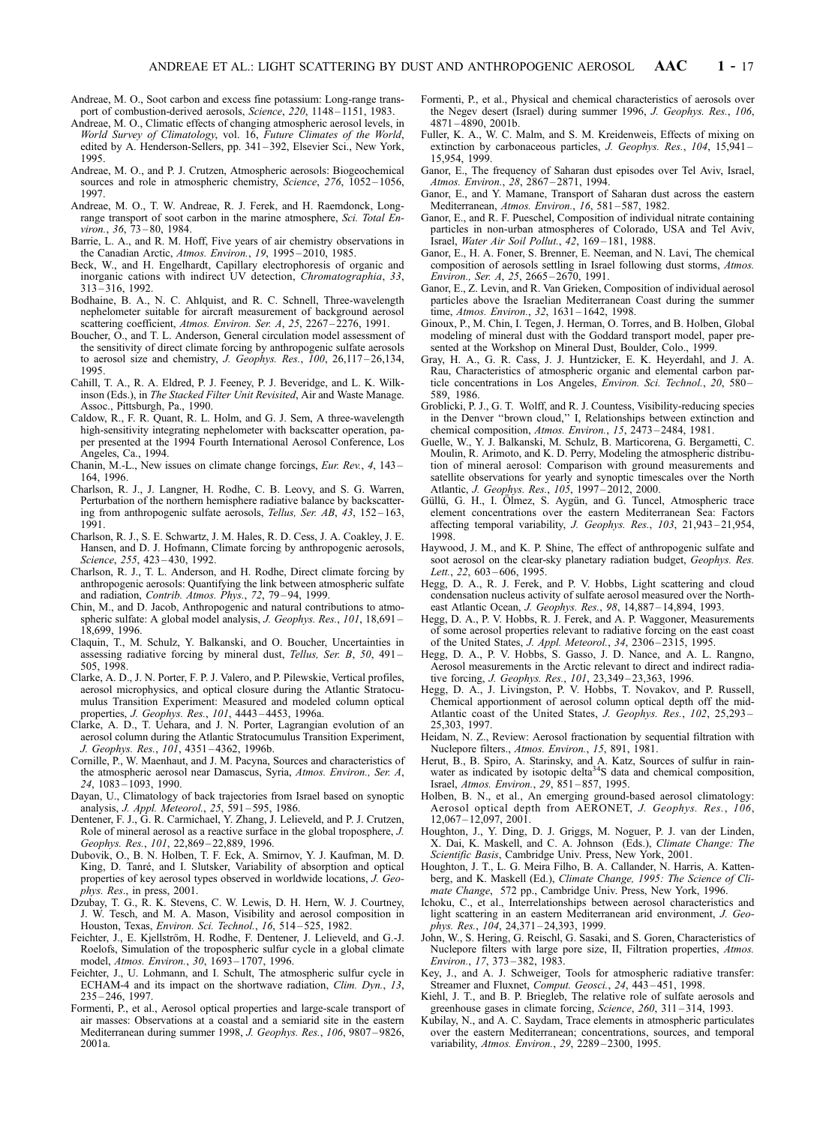- Andreae, M. O., Soot carbon and excess fine potassium: Long-range transport of combustion-derived aerosols, Science, 220, 1148-1151, 1983.
- Andreae, M. O., Climatic effects of changing atmospheric aerosol levels, in World Survey of Climatology, vol. 16, Future Climates of the World, edited by A. Henderson-Sellers, pp. 341 – 392, Elsevier Sci., New York, 1995.
- Andreae, M. O., and P. J. Crutzen, Atmospheric aerosols: Biogeochemical sources and role in atmospheric chemistry, Science, 276, 1052-1056, 1997.
- Andreae, M. O., T. W. Andreae, R. J. Ferek, and H. Raemdonck, Longrange transport of soot carbon in the marine atmosphere, Sci. Total Environ., 36, 73 – 80, 1984.
- Barrie, L. A., and R. M. Hoff, Five years of air chemistry observations in the Canadian Arctic, Atmos. Environ., 19, 1995 – 2010, 1985.
- Beck, W., and H. Engelhardt, Capillary electrophoresis of organic and inorganic cations with indirect UV detection, Chromatographia, 33, 313 – 316, 1992.
- Bodhaine, B. A., N. C. Ahlquist, and R. C. Schnell, Three-wavelength nephelometer suitable for aircraft measurement of background aerosol scattering coefficient, Atmos. Environ. Ser. A, 25, 2267-2276, 1991.
- Boucher, O., and T. L. Anderson, General circulation model assessment of the sensitivity of direct climate forcing by anthropogenic sulfate aerosols to aerosol size and chemistry, J. Geophys. Res.,  $100$ , 26,117-26,134, 1995.
- Cahill, T. A., R. A. Eldred, P. J. Feeney, P. J. Beveridge, and L. K. Wilkinson (Eds.), in The Stacked Filter Unit Revisited, Air and Waste Manage. Assoc., Pittsburgh, Pa., 1990.
- Caldow, R., F. R. Quant, R. L. Holm, and G. J. Sem, A three-wavelength high-sensitivity integrating nephelometer with backscatter operation, paper presented at the 1994 Fourth International Aerosol Conference, Los Angeles, Ca., 1994.
- Chanin, M.-L., New issues on climate change forcings, Eur. Rev., 4, 143-164, 1996.
- Charlson, R. J., J. Langner, H. Rodhe, C. B. Leovy, and S. G. Warren, Perturbation of the northern hemisphere radiative balance by backscattering from anthropogenic sulfate aerosols, Tellus, Ser. AB, 43, 152 – 163, 1991.
- Charlson, R. J., S. E. Schwartz, J. M. Hales, R. D. Cess, J. A. Coakley, J. E. Hansen, and D. J. Hofmann, Climate forcing by anthropogenic aerosols, Science, 255, 423-430, 1992.
- Charlson, R. J., T. L. Anderson, and H. Rodhe, Direct climate forcing by anthropogenic aerosols: Quantifying the link between atmospheric sulfate and radiation, Contrib. Atmos. Phys., 72, 79-94, 1999.
- Chin, M., and D. Jacob, Anthropogenic and natural contributions to atmospheric sulfate: A global model analysis, J. Geophys. Res., 101, 18,691-18,699, 1996.
- Claquin, T., M. Schulz, Y. Balkanski, and O. Boucher, Uncertainties in assessing radiative forcing by mineral dust, Tellus, Ser. B, 50, 491 – 505, 1998.
- Clarke, A. D., J. N. Porter, F. P. J. Valero, and P. Pilewskie, Vertical profiles, aerosol microphysics, and optical closure during the Atlantic Stratocumulus Transition Experiment: Measured and modeled column optical properties, J. Geophys. Res., 101, 4443 – 4453, 1996a.
- Clarke, A. D., T. Uehara, and J. N. Porter, Lagrangian evolution of an aerosol column during the Atlantic Stratocumulus Transition Experiment, J. Geophys. Res., 101, 4351-4362, 1996b.
- Cornille, P., W. Maenhaut, and J. M. Pacyna, Sources and characteristics of the atmospheric aerosol near Damascus, Syria, Atmos. Environ., Ser. A, 24, 1083 – 1093, 1990.
- Dayan, U., Climatology of back trajectories from Israel based on synoptic analysis, J. Appl. Meteorol., 25, 591 – 595, 1986.
- Dentener, F. J., G. R. Carmichael, Y. Zhang, J. Lelieveld, and P. J. Crutzen, Role of mineral aerosol as a reactive surface in the global troposphere, J. Geophys. Res., 101, 22,869-22,889, 1996.
- Dubovik, O., B. N. Holben, T. F. Eck, A. Smirnov, Y. J. Kaufman, M. D. King, D. Tanré, and I. Slutsker, Variability of absorption and optical properties of key aerosol types observed in worldwide locations, J. Geophys. Res., in press, 2001.
- Dzubay, T. G., R. K. Stevens, C. W. Lewis, D. H. Hern, W. J. Courtney, J. W. Tesch, and M. A. Mason, Visibility and aerosol composition in Houston, Texas, Environ. Sci. Technol., 16, 514-525, 1982.
- Feichter, J., E. Kjellström, H. Rodhe, F. Dentener, J. Lelieveld, and G.-J. Roelofs, Simulation of the tropospheric sulfur cycle in a global climate model, Atmos. Environ., 30, 1693 – 1707, 1996.
- Feichter, J., U. Lohmann, and I. Schult, The atmospheric sulfur cycle in ECHAM-4 and its impact on the shortwave radiation, *Clim. Dyn.*, 13, 235 – 246, 1997.
- Formenti, P., et al., Aerosol optical properties and large-scale transport of air masses: Observations at a coastal and a semiarid site in the eastern Mediterranean during summer 1998, J. Geophys. Res., 106, 9807 – 9826, 2001a.
- Formenti, P., et al., Physical and chemical characteristics of aerosols over the Negev desert (Israel) during summer 1996, J. Geophys. Res., 106, 4871 – 4890, 2001b.
- Fuller, K. A., W. C. Malm, and S. M. Kreidenweis, Effects of mixing on extinction by carbonaceous particles, *J. Geophys. Res.*, 104, 15,941– 15,954, 1999.
- Ganor, E., The frequency of Saharan dust episodes over Tel Aviv, Israel, Atmos. Environ., 28, 2867 – 2871, 1994.
- Ganor, E., and Y. Mamane, Transport of Saharan dust across the eastern Mediterranean, Atmos. Environ., 16, 581-587, 1982.
- Ganor, E., and R. F. Pueschel, Composition of individual nitrate containing particles in non-urban atmospheres of Colorado, USA and Tel Aviv, Israel, Water Air Soil Pollut., 42, 169 – 181, 1988.
- Ganor, E., H. A. Foner, S. Brenner, E. Neeman, and N. Lavi, The chemical composition of aerosols settling in Israel following dust storms, Atmos. Environ., Ser. A, 25, 2665 – 2670, 1991.
- Ganor, E., Z. Levin, and R. Van Grieken, Composition of individual aerosol particles above the Israelian Mediterranean Coast during the summer time, Atmos. Environ., 32, 1631 – 1642, 1998.
- Ginoux, P., M. Chin, I. Tegen, J. Herman, O. Torres, and B. Holben, Global modeling of mineral dust with the Goddard transport model, paper presented at the Workshop on Mineral Dust, Boulder, Colo., 1999.
- Gray, H. A., G. R. Cass, J. J. Huntzicker, E. K. Heyerdahl, and J. A. Rau, Characteristics of atmospheric organic and elemental carbon particle concentrations in Los Angeles, Environ. Sci. Technol., 20, 580-589, 1986.
- Groblicki, P. J., G. T. Wolff, and R. J. Countess, Visibility-reducing species in the Denver ''brown cloud,'' I, Relationships between extinction and chemical composition, Atmos. Environ., 15, 2473 – 2484, 1981.
- Guelle, W., Y. J. Balkanski, M. Schulz, B. Marticorena, G. Bergametti, C. Moulin, R. Arimoto, and K. D. Perry, Modeling the atmospheric distribution of mineral aerosol: Comparison with ground measurements and satellite observations for yearly and synoptic timescales over the North Atlantic, J. Geophys. Res., 105, 1997 – 2012, 2000.
- Güllü, G. H., I. Ölmez, S. Aygün, and G. Tuncel, Atmospheric trace element concentrations over the eastern Mediterranean Sea: Factors affecting temporal variability, J. Geophys. Res., 103, 21,943 – 21,954, 1998.
- Haywood, J. M., and K. P. Shine, The effect of anthropogenic sulfate and soot aerosol on the clear-sky planetary radiation budget, *Geophys. Res.* Lett., 22, 603-606, 1995.
- Hegg, D. A., R. J. Ferek, and P. V. Hobbs, Light scattering and cloud condensation nucleus activity of sulfate aerosol measured over the Northeast Atlantic Ocean, J. Geophys. Res., 98, 14,887 – 14,894, 1993.
- Hegg, D. A., P. V. Hobbs, R. J. Ferek, and A. P. Waggoner, Measurements of some aerosol properties relevant to radiative forcing on the east coast of the United States, J. Appl. Meteorol., 34, 2306 – 2315, 1995.
- Hegg, D. A., P. V. Hobbs, S. Gasso, J. D. Nance, and A. L. Rangno, Aerosol measurements in the Arctic relevant to direct and indirect radiative forcing, J. Geophys. Res., 101, 23,349 – 23,363, 1996.
- Hegg, D. A., J. Livingston, P. V. Hobbs, T. Novakov, and P. Russell, Chemical apportionment of aerosol column optical depth off the mid-Atlantic coast of the United States, J. Geophys. Res., 102, 25,293-25,303, 1997.
- Heidam, N. Z., Review: Aerosol fractionation by sequential filtration with Nuclepore filters., Atmos. Environ., 15, 891, 1981.
- Herut, B., B. Spiro, A. Starinsky, and A. Katz, Sources of sulfur in rainwater as indicated by isotopic delta<sup>34</sup>S data and chemical composition, Israel, Atmos. Environ., 29, 851 – 857, 1995.
- Holben, B. N., et al., An emerging ground-based aerosol climatology: Aerosol optical depth from AERONET, J. Geophys. Res., 106, 12,067 – 12,097, 2001.
- Houghton, J., Y. Ding, D. J. Griggs, M. Noguer, P. J. van der Linden, X. Dai, K. Maskell, and C. A. Johnson (Eds.), Climate Change: The Scientific Basis, Cambridge Univ. Press, New York, 2001.
- Houghton, J. T., L. G. Meira Filho, B. A. Callander, N. Harris, A. Kattenberg, and K. Maskell (Ed.), Climate Change, 1995: The Science of Climate Change, 572 pp., Cambridge Univ. Press, New York, 1996.
- Ichoku, C., et al., Interrelationships between aerosol characteristics and light scattering in an eastern Mediterranean arid environment, J. Geophys. Res., 104, 24,371-24,393, 1999.
- John, W., S. Hering, G. Reischl, G. Sasaki, and S. Goren, Characteristics of Nuclepore filters with large pore size, II, Filtration properties, Atmos. Environ., 17, 373 – 382, 1983.
- Key, J., and A. J. Schweiger, Tools for atmospheric radiative transfer: Streamer and Fluxnet, Comput. Geosci., 24, 443-451, 1998.
- Kiehl, J. T., and B. P. Briegleb, The relative role of sulfate aerosols and greenhouse gases in climate forcing, Science, 260, 311 – 314, 1993.
- Kubilay, N., and A. C. Saydam, Trace elements in atmospheric particulates over the eastern Mediterranean; concentrations, sources, and temporal variability, Atmos. Environ., 29, 2289-2300, 1995.